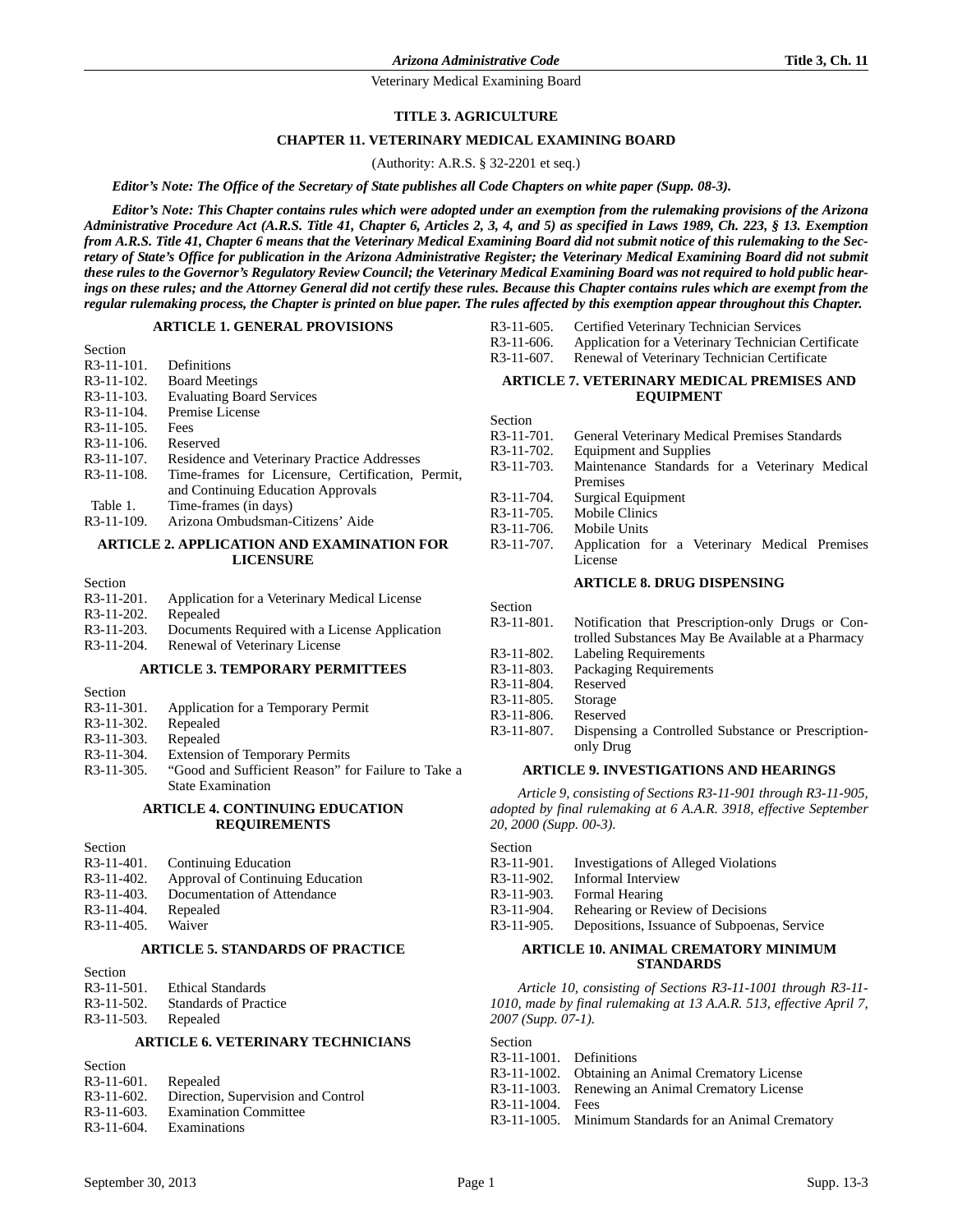### **TITLE 3. AGRICULTURE**

#### **CHAPTER 11. VETERINARY MEDICAL EXAMINING BOARD**

(Authority: A.R.S. § 32-2201 et seq.)

*Editor's Note: The Office of the Secretary of State publishes all Code Chapters on white paper (Supp. 08-3).*

*Editor's Note: This Chapter contains rules which were adopted under an exemption from the rulemaking provisions of the Arizona Administrative Procedure Act (A.R.S. Title 41, Chapter 6, Articles 2, 3, 4, and 5) as specified in Laws 1989, Ch. 223, § 13. Exemption from A.R.S. Title 41, Chapter 6 means that the Veterinary Medical Examining Board did not submit notice of this rulemaking to the Secretary of State's Office for publication in the Arizona Administrative Register; the Veterinary Medical Examining Board did not submit these rules to the Governor's Regulatory Review Council; the Veterinary Medical Examining Board was not required to hold public hearings on these rules; and the Attorney General did not certify these rules. Because this Chapter contains rules which are exempt from the regular rulemaking process, the Chapter is printed on blue paper. The rules affected by this exemption appear throughout this Chapter.*

#### **ARTICLE 1. GENERAL PROVISIONS**

| Section                 |                                                   |
|-------------------------|---------------------------------------------------|
| $R3-11-101.$            | Definitions                                       |
| R <sub>3</sub> -11-102. | <b>Board Meetings</b>                             |
| $R3-11-103.$            | <b>Evaluating Board Services</b>                  |
| R <sub>3</sub> -11-104. | Premise License                                   |
| $R3-11-105$ .           | Fees                                              |
| $R3-11-106.$            | Reserved                                          |
| $R3-11-107$ .           | Residence and Veterinary Practice Addresses       |
| $R3-11-108.$            | Time-frames for Licensure, Certification, Permit, |
|                         | and Continuing Education Approvals                |
| Table 1.                | Time-frames (in days)                             |
| $R3-11-109.$            | Arizona Ombudsman-Citizens' Aide                  |

### **ARTICLE 2. APPLICATION AND EXAMINATION FOR LICENSURE**

Section

| $R3-11-201$ .           | Application for a Veterinary Medical License  |
|-------------------------|-----------------------------------------------|
| R <sub>3</sub> -11-202. | Repealed                                      |
| $R3-11-203$ .           | Documents Required with a License Application |
| $R3-11-204.$            | Renewal of Veterinary License                 |
|                         |                                               |

### **ARTICLE 3. TEMPORARY PERMITTEES**

Section

- R3-11-301. Application for a Temporary Permit
- R3-11-302. Repealed
- R3-11-303. Repealed
- R3-11-304. Extension of Temporary Permits
- R3-11-305. "Good and Sufficient Reason" for Failure to Take a State Examination

#### **ARTICLE 4. CONTINUING EDUCATION REQUIREMENTS**

Section R3-11-401. Continuing Education R3-11-402. Approval of Continuing Education R3-11-403. Documentation of Attendance

R3-11-404. Repealed<br>R3-11-405. Waiver  $R3-11-405$ .

### **ARTICLE 5. STANDARDS OF PRACTICE**

| Section       |                          |
|---------------|--------------------------|
| $R3-11-501$ . | <b>Ethical Standards</b> |
| $R3-11-502$ . | Standards of Practice    |
| $R3-11-503$ . | Repealed                 |

#### **ARTICLE 6. VETERINARY TECHNICIANS**

| Section       |                                    |
|---------------|------------------------------------|
| $R3-11-601$ . | Repealed                           |
| $R3-11-602$ . | Direction, Supervision and Control |
| $R3-11-603$ . | <b>Examination Committee</b>       |
| $R3-11-604.$  | Examinations                       |

| R3-11-605.   | Certified Veterinary Technician Services |
|--------------|------------------------------------------|
| . . <i>.</i> |                                          |

- R3-11-606. Application for a Veterinary Technician Certificate
- R3-11-607. Renewal of Veterinary Technician Certificate

#### **ARTICLE 7. VETERINARY MEDICAL PREMISES AND EQUIPMENT**

Section

| R3-11-701. | General Veterinary Medical Premises Standards  |  |  |  |
|------------|------------------------------------------------|--|--|--|
| R3-11-702. | <b>Equipment and Supplies</b>                  |  |  |  |
| R3-11-703. | Maintenance Standards for a Veterinary Medical |  |  |  |
|            | Premises                                       |  |  |  |
| R3-11-704. | Surgical Equipment                             |  |  |  |
| R3-11-705. | Mobile Clinics                                 |  |  |  |
| R3-11-706. | Mobile Units                                   |  |  |  |
| R3-11-707. | Application for a Veterinary Medical Premises  |  |  |  |
|            | License                                        |  |  |  |
|            | <b>ARTICLE 8. DRUG DISPENSING</b>              |  |  |  |

#### **ARTICLE 8. DRUG DISPENSING**

| Section                 |                                                    |
|-------------------------|----------------------------------------------------|
| $R3-11-801$ .           | Notification that Prescription-only Drugs or Con-  |
|                         | trolled Substances May Be Available at a Pharmacy  |
| $R3-11-802$ .           | <b>Labeling Requirements</b>                       |
| $R3-11-803$ .           | Packaging Requirements                             |
| R <sub>3</sub> -11-804. | Reserved                                           |
| $R3-11-805$ .           | Storage                                            |
| $R3-11-806$ .           | Reserved                                           |
| R <sub>3</sub> -11-807. | Dispensing a Controlled Substance or Prescription- |
|                         | only Drug                                          |
|                         |                                                    |

### **ARTICLE 9. INVESTIGATIONS AND HEARINGS**

*Article 9, consisting of Sections R3-11-901 through R3-11-905, adopted by final rulemaking at 6 A.A.R. 3918, effective September 20, 2000 (Supp. 00-3).*

Section

| R3-11-901. | Investigations of Alleged Violations |  |  |
|------------|--------------------------------------|--|--|
|------------|--------------------------------------|--|--|

- R3-11-902. Informal Interview
- R3-11-903. Formal Hearing
- 
- R3-11-904. Rehearing or Review of Decisions<br>R3-11-905. Depositions, Issuance of Subpoena Depositions, Issuance of Subpoenas, Service

### **ARTICLE 10. ANIMAL CREMATORY MINIMUM STANDARDS**

*Article 10, consisting of Sections R3-11-1001 through R3-11- 1010, made by final rulemaking at 13 A.A.R. 513, effective April 7, 2007 (Supp. 07-1).*

Section

- R3-11-1001. Definitions
- R3-11-1002. Obtaining an Animal Crematory License
- R3-11-1003. Renewing an Animal Crematory License
- R3-11-1004. Fees
- R3-11-1005. Minimum Standards for an Animal Crematory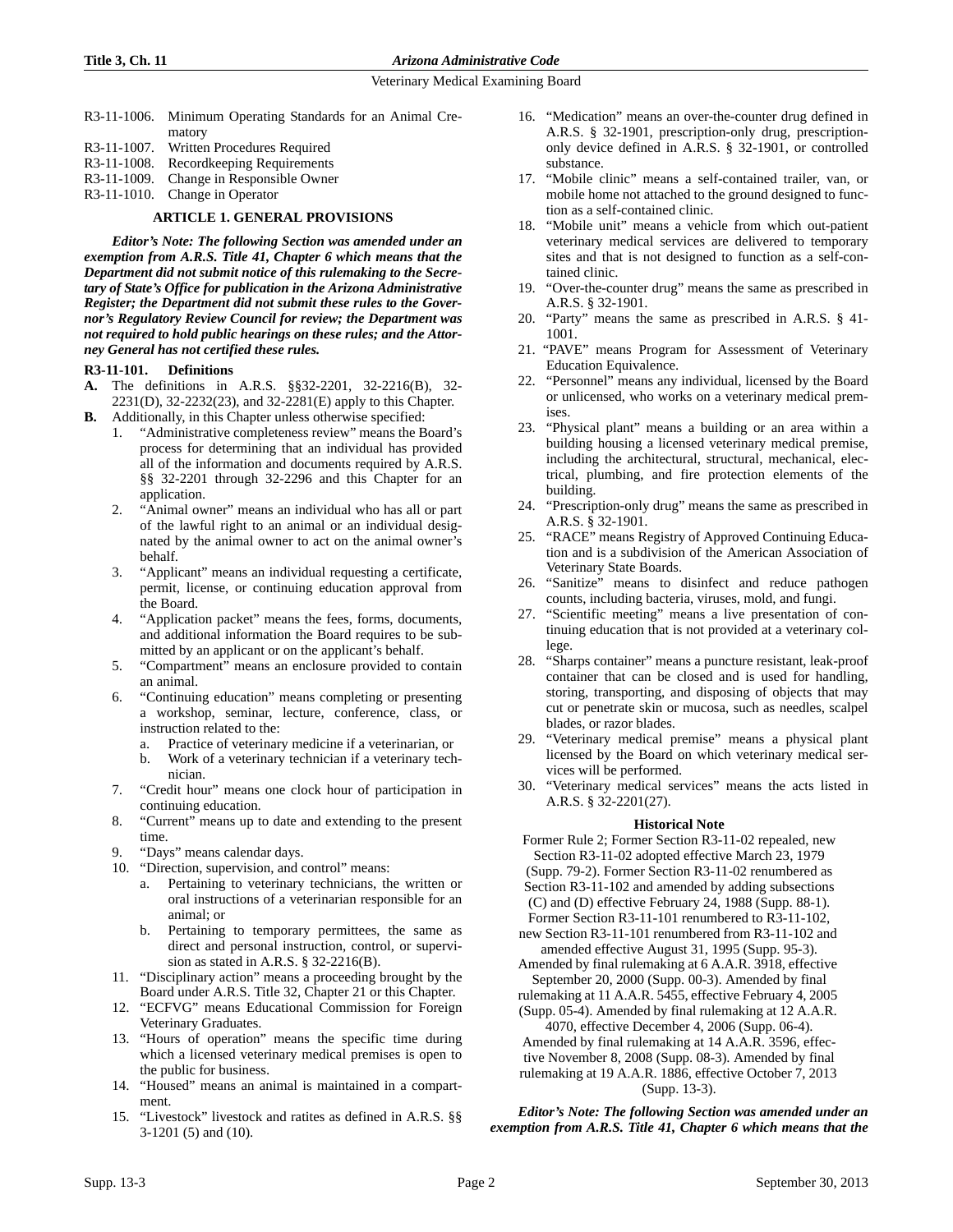- R3-11-1006. Minimum Operating Standards for an Animal Crematory R3-11-1007. Written Procedures Required
- 
- R3-11-1008. Recordkeeping Requirements
- R3-11-1009. Change in Responsible Owner
- R3-11-1010. Change in Operator

### **ARTICLE 1. GENERAL PROVISIONS**

*Editor's Note: The following Section was amended under an exemption from A.R.S. Title 41, Chapter 6 which means that the Department did not submit notice of this rulemaking to the Secretary of State's Office for publication in the Arizona Administrative Register; the Department did not submit these rules to the Governor's Regulatory Review Council for review; the Department was not required to hold public hearings on these rules; and the Attorney General has not certified these rules.* 

### **R3-11-101. Definitions**

- **A.** The definitions in A.R.S. §§32-2201, 32-2216(B), 32- 2231(D), 32-2232(23), and 32-2281(E) apply to this Chapter.
- **B.** Additionally, in this Chapter unless otherwise specified:
	- 1. "Administrative completeness review" means the Board's process for determining that an individual has provided all of the information and documents required by A.R.S. §§ 32-2201 through 32-2296 and this Chapter for an application.
	- 2. "Animal owner" means an individual who has all or part of the lawful right to an animal or an individual designated by the animal owner to act on the animal owner's behalf.
	- 3. "Applicant" means an individual requesting a certificate, permit, license, or continuing education approval from the Board.
	- 4. "Application packet" means the fees, forms, documents, and additional information the Board requires to be submitted by an applicant or on the applicant's behalf.
	- 5. "Compartment" means an enclosure provided to contain an animal.
	- 6. "Continuing education" means completing or presenting a workshop, seminar, lecture, conference, class, or instruction related to the:
		- a. Practice of veterinary medicine if a veterinarian, or
		- b. Work of a veterinary technician if a veterinary technician.
	- 7. "Credit hour" means one clock hour of participation in continuing education.
	- 8. "Current" means up to date and extending to the present time.
	- 9. "Days" means calendar days.
	- 10. "Direction, supervision, and control" means:
		- a. Pertaining to veterinary technicians, the written or oral instructions of a veterinarian responsible for an animal; or
		- b. Pertaining to temporary permittees, the same as direct and personal instruction, control, or supervision as stated in A.R.S. § 32-2216(B).
	- 11. "Disciplinary action" means a proceeding brought by the Board under A.R.S. Title 32, Chapter 21 or this Chapter.
	- 12. "ECFVG" means Educational Commission for Foreign Veterinary Graduates.
	- 13. "Hours of operation" means the specific time during which a licensed veterinary medical premises is open to the public for business.
	- 14. "Housed" means an animal is maintained in a compartment.
	- 15. "Livestock" livestock and ratites as defined in A.R.S. §§ 3-1201 (5) and (10).
- 16. "Medication" means an over-the-counter drug defined in A.R.S. § 32-1901, prescription-only drug, prescriptiononly device defined in A.R.S. § 32-1901, or controlled substance.
- 17. "Mobile clinic" means a self-contained trailer, van, or mobile home not attached to the ground designed to function as a self-contained clinic.
- 18. "Mobile unit" means a vehicle from which out-patient veterinary medical services are delivered to temporary sites and that is not designed to function as a self-contained clinic.
- 19. "Over-the-counter drug" means the same as prescribed in A.R.S. § 32-1901.
- 20. "Party" means the same as prescribed in A.R.S. § 41- 1001.
- 21. "PAVE" means Program for Assessment of Veterinary Education Equivalence.
- 22. "Personnel" means any individual, licensed by the Board or unlicensed, who works on a veterinary medical premises.
- 23. "Physical plant" means a building or an area within a building housing a licensed veterinary medical premise, including the architectural, structural, mechanical, electrical, plumbing, and fire protection elements of the building.
- 24. "Prescription-only drug" means the same as prescribed in A.R.S. § 32-1901.
- 25. "RACE" means Registry of Approved Continuing Education and is a subdivision of the American Association of Veterinary State Boards.
- 26. "Sanitize" means to disinfect and reduce pathogen counts, including bacteria, viruses, mold, and fungi.
- 27. "Scientific meeting" means a live presentation of continuing education that is not provided at a veterinary college.
- 28. "Sharps container" means a puncture resistant, leak-proof container that can be closed and is used for handling, storing, transporting, and disposing of objects that may cut or penetrate skin or mucosa, such as needles, scalpel blades, or razor blades.
- 29. "Veterinary medical premise" means a physical plant licensed by the Board on which veterinary medical services will be performed.
- 30. "Veterinary medical services" means the acts listed in A.R.S. § 32-2201(27).

# **Historical Note**

Former Rule 2; Former Section R3-11-02 repealed, new Section R3-11-02 adopted effective March 23, 1979 (Supp. 79-2). Former Section R3-11-02 renumbered as Section R3-11-102 and amended by adding subsections (C) and (D) effective February 24, 1988 (Supp. 88-1).

- Former Section R3-11-101 renumbered to R3-11-102, new Section R3-11-101 renumbered from R3-11-102 and
- amended effective August 31, 1995 (Supp. 95-3). Amended by final rulemaking at 6 A.A.R. 3918, effective September 20, 2000 (Supp. 00-3). Amended by final

rulemaking at 11 A.A.R. 5455, effective February 4, 2005 (Supp. 05-4). Amended by final rulemaking at 12 A.A.R.

4070, effective December 4, 2006 (Supp. 06-4). Amended by final rulemaking at 14 A.A.R. 3596, effective November 8, 2008 (Supp. 08-3). Amended by final

rulemaking at 19 A.A.R. 1886, effective October 7, 2013 (Supp. 13-3).

*Editor's Note: The following Section was amended under an exemption from A.R.S. Title 41, Chapter 6 which means that the*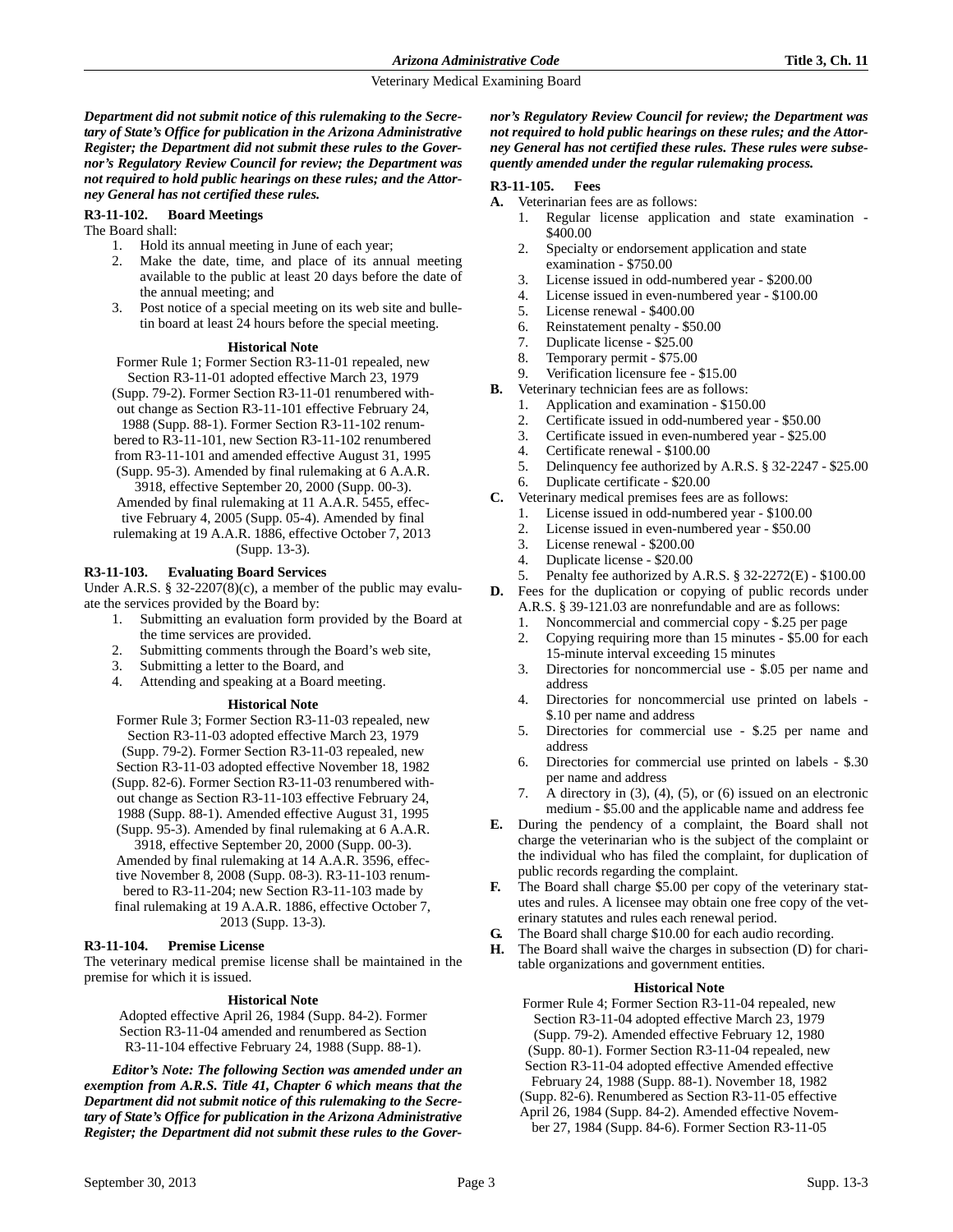*Department did not submit notice of this rulemaking to the Secretary of State's Office for publication in the Arizona Administrative Register; the Department did not submit these rules to the Governor's Regulatory Review Council for review; the Department was not required to hold public hearings on these rules; and the Attorney General has not certified these rules.*

### **R3-11-102. Board Meetings**

The Board shall:

- 1. Hold its annual meeting in June of each year;
- 2. Make the date, time, and place of its annual meeting available to the public at least 20 days before the date of the annual meeting; and
- 3. Post notice of a special meeting on its web site and bulletin board at least 24 hours before the special meeting.

#### **Historical Note**

- Former Rule 1; Former Section R3-11-01 repealed, new Section R3-11-01 adopted effective March 23, 1979
- (Supp. 79-2). Former Section R3-11-01 renumbered with-
- out change as Section R3-11-101 effective February 24,

1988 (Supp. 88-1). Former Section R3-11-102 renum-

bered to R3-11-101, new Section R3-11-102 renumbered

from R3-11-101 and amended effective August 31, 1995

(Supp. 95-3). Amended by final rulemaking at 6 A.A.R. 3918, effective September 20, 2000 (Supp. 00-3).

Amended by final rulemaking at 11 A.A.R. 5455, effec-

tive February 4, 2005 (Supp. 05-4). Amended by final rulemaking at 19 A.A.R. 1886, effective October 7, 2013

(Supp. 13-3).

### **R3-11-103. Evaluating Board Services**

Under A.R.S. § 32-2207(8)(c), a member of the public may evaluate the services provided by the Board by:

- 1. Submitting an evaluation form provided by the Board at the time services are provided.
- 2. Submitting comments through the Board's web site,
- 3. Submitting a letter to the Board, and
- 4. Attending and speaking at a Board meeting.

### **Historical Note**

Former Rule 3; Former Section R3-11-03 repealed, new Section R3-11-03 adopted effective March 23, 1979 (Supp. 79-2). Former Section R3-11-03 repealed, new Section R3-11-03 adopted effective November 18, 1982 (Supp. 82-6). Former Section R3-11-03 renumbered without change as Section R3-11-103 effective February 24, 1988 (Supp. 88-1). Amended effective August 31, 1995 (Supp. 95-3). Amended by final rulemaking at 6 A.A.R. 3918, effective September 20, 2000 (Supp. 00-3). Amended by final rulemaking at 14 A.A.R. 3596, effective November 8, 2008 (Supp. 08-3). R3-11-103 renumbered to R3-11-204; new Section R3-11-103 made by final rulemaking at 19 A.A.R. 1886, effective October 7, 2013 (Supp. 13-3).

### **R3-11-104. Premise License**

The veterinary medical premise license shall be maintained in the premise for which it is issued.

### **Historical Note**

Adopted effective April 26, 1984 (Supp. 84-2). Former Section R3-11-04 amended and renumbered as Section R3-11-104 effective February 24, 1988 (Supp. 88-1).

*Editor's Note: The following Section was amended under an exemption from A.R.S. Title 41, Chapter 6 which means that the Department did not submit notice of this rulemaking to the Secretary of State's Office for publication in the Arizona Administrative Register; the Department did not submit these rules to the Gover-* *nor's Regulatory Review Council for review; the Department was not required to hold public hearings on these rules; and the Attorney General has not certified these rules. These rules were subsequently amended under the regular rulemaking process.*

### **R3-11-105. Fees**

- **A.** Veterinarian fees are as follows:
	- 1. Regular license application and state examination \$400.00
	- 2. Specialty or endorsement application and state examination - \$750.00
	- 3. License issued in odd-numbered year \$200.00
	- 4. License issued in even-numbered year \$100.00
	- 5. License renewal \$400.00
	- 6. Reinstatement penalty \$50.00
	- 7. Duplicate license \$25.00
	- 8. Temporary permit \$75.00
	- 9. Verification licensure fee \$15.00
- **B.** Veterinary technician fees are as follows:
	- 1. Application and examination \$150.00
	- 2. Certificate issued in odd-numbered year \$50.00
	- 3. Certificate issued in even-numbered year \$25.00
	- 4. Certificate renewal \$100.00
	- 5. Delinquency fee authorized by A.R.S. § 32-2247 \$25.00
	- 6. Duplicate certificate \$20.00
- **C.** Veterinary medical premises fees are as follows:
	- 1. License issued in odd-numbered year \$100.00
	- 2. License issued in even-numbered year \$50.00
	- 3. License renewal \$200.00
	- 4. Duplicate license \$20.00
	- 5. Penalty fee authorized by A.R.S. § 32-2272(E) \$100.00
- **D.** Fees for the duplication or copying of public records under A.R.S. § 39-121.03 are nonrefundable and are as follows:
	- Noncommercial and commercial copy \$.25 per page
	- 2. Copying requiring more than 15 minutes \$5.00 for each 15-minute interval exceeding 15 minutes
	- 3. Directories for noncommercial use \$.05 per name and address
	- 4. Directories for noncommercial use printed on labels \$.10 per name and address
	- 5. Directories for commercial use \$.25 per name and address
	- 6. Directories for commercial use printed on labels \$.30 per name and address
	- 7. A directory in (3), (4), (5), or (6) issued on an electronic medium - \$5.00 and the applicable name and address fee
- **E.** During the pendency of a complaint, the Board shall not charge the veterinarian who is the subject of the complaint or the individual who has filed the complaint, for duplication of public records regarding the complaint.
- **F.** The Board shall charge \$5.00 per copy of the veterinary statutes and rules. A licensee may obtain one free copy of the veterinary statutes and rules each renewal period.
- **G.** The Board shall charge \$10.00 for each audio recording.
- **H.** The Board shall waive the charges in subsection (D) for charitable organizations and government entities.

### **Historical Note**

Former Rule 4; Former Section R3-11-04 repealed, new Section R3-11-04 adopted effective March 23, 1979 (Supp. 79-2). Amended effective February 12, 1980

- (Supp. 80-1). Former Section R3-11-04 repealed, new
- Section R3-11-04 adopted effective Amended effective
- February 24, 1988 (Supp. 88-1). November 18, 1982
- (Supp. 82-6). Renumbered as Section R3-11-05 effective
- April 26, 1984 (Supp. 84-2). Amended effective Novem
	- ber 27, 1984 (Supp. 84-6). Former Section R3-11-05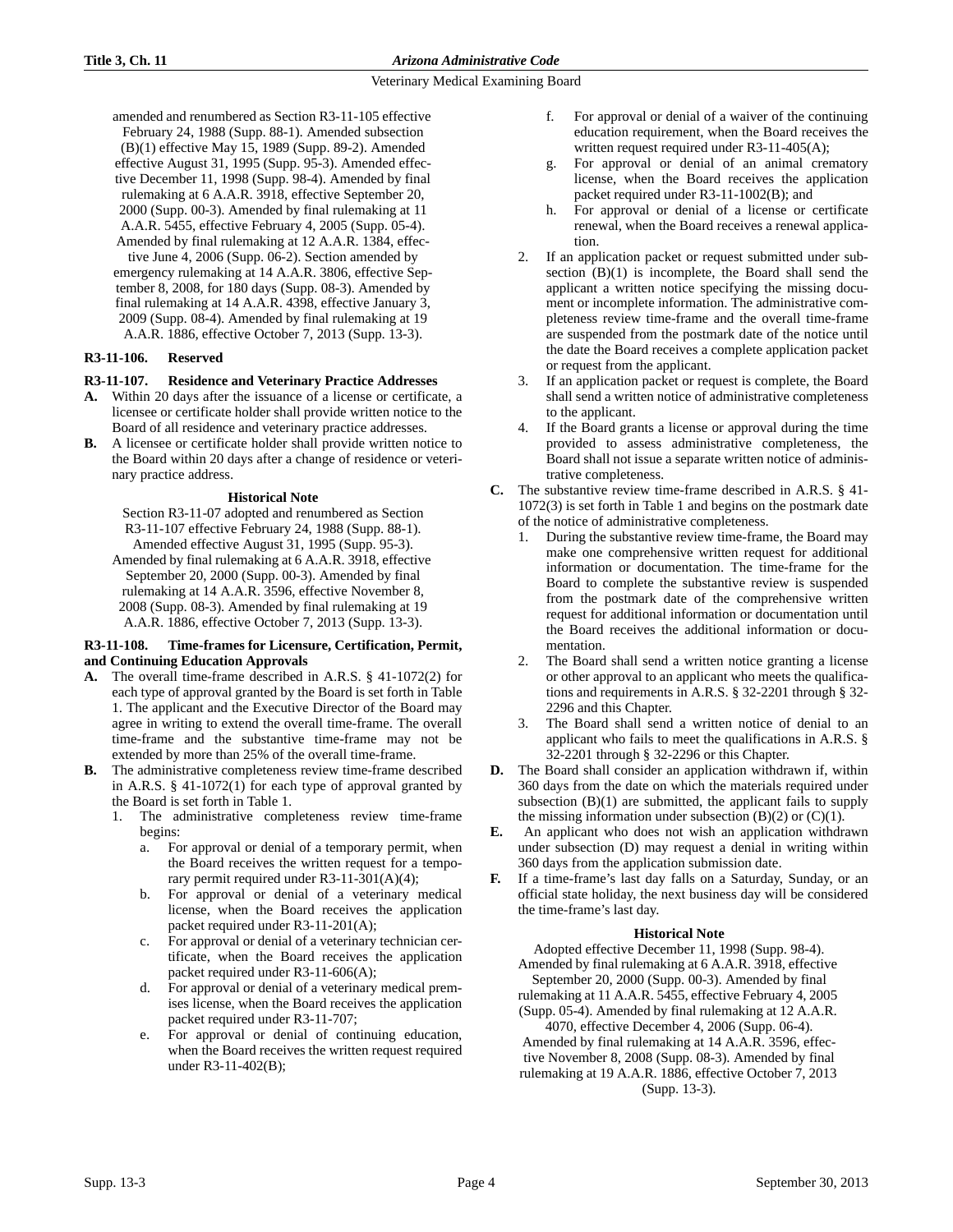amended and renumbered as Section R3-11-105 effective February 24, 1988 (Supp. 88-1). Amended subsection (B)(1) effective May 15, 1989 (Supp. 89-2). Amended effective August 31, 1995 (Supp. 95-3). Amended effective December 11, 1998 (Supp. 98-4). Amended by final rulemaking at 6 A.A.R. 3918, effective September 20, 2000 (Supp. 00-3). Amended by final rulemaking at 11 A.A.R. 5455, effective February 4, 2005 (Supp. 05-4). Amended by final rulemaking at 12 A.A.R. 1384, effective June 4, 2006 (Supp. 06-2). Section amended by emergency rulemaking at 14 A.A.R. 3806, effective September 8, 2008, for 180 days (Supp. 08-3). Amended by final rulemaking at 14 A.A.R. 4398, effective January 3, 2009 (Supp. 08-4). Amended by final rulemaking at 19 A.A.R. 1886, effective October 7, 2013 (Supp. 13-3).

# **R3-11-106. Reserved**

# **R3-11-107. Residence and Veterinary Practice Addresses**

- **A.** Within 20 days after the issuance of a license or certificate, a licensee or certificate holder shall provide written notice to the Board of all residence and veterinary practice addresses.
- **B.** A licensee or certificate holder shall provide written notice to the Board within 20 days after a change of residence or veterinary practice address.

# **Historical Note**

Section R3-11-07 adopted and renumbered as Section R3-11-107 effective February 24, 1988 (Supp. 88-1). Amended effective August 31, 1995 (Supp. 95-3).

Amended by final rulemaking at 6 A.A.R. 3918, effective September 20, 2000 (Supp. 00-3). Amended by final rulemaking at 14 A.A.R. 3596, effective November 8, 2008 (Supp. 08-3). Amended by final rulemaking at 19 A.A.R. 1886, effective October 7, 2013 (Supp. 13-3).

### **R3-11-108. Time-frames for Licensure, Certification, Permit, and Continuing Education Approvals**

- **A.** The overall time-frame described in A.R.S. § 41-1072(2) for each type of approval granted by the Board is set forth in Table 1. The applicant and the Executive Director of the Board may agree in writing to extend the overall time-frame. The overall time-frame and the substantive time-frame may not be extended by more than 25% of the overall time-frame.
- **B.** The administrative completeness review time-frame described in A.R.S. § 41-1072(1) for each type of approval granted by the Board is set forth in Table 1.
	- The administrative completeness review time-frame begins:
		- a. For approval or denial of a temporary permit, when the Board receives the written request for a temporary permit required under R3-11-301(A)(4);
		- b. For approval or denial of a veterinary medical license, when the Board receives the application packet required under R3-11-201(A);
		- c. For approval or denial of a veterinary technician certificate, when the Board receives the application packet required under R3-11-606(A);
		- d. For approval or denial of a veterinary medical premises license, when the Board receives the application packet required under R3-11-707;
		- e. For approval or denial of continuing education, when the Board receives the written request required under R3-11-402(B);
- f. For approval or denial of a waiver of the continuing education requirement, when the Board receives the written request required under R3-11-405(A);
- g. For approval or denial of an animal crematory license, when the Board receives the application packet required under R3-11-1002(B); and
- h. For approval or denial of a license or certificate renewal, when the Board receives a renewal application.
- 2. If an application packet or request submitted under subsection (B)(1) is incomplete, the Board shall send the applicant a written notice specifying the missing document or incomplete information. The administrative completeness review time-frame and the overall time-frame are suspended from the postmark date of the notice until the date the Board receives a complete application packet or request from the applicant.
- If an application packet or request is complete, the Board shall send a written notice of administrative completeness to the applicant.
- 4. If the Board grants a license or approval during the time provided to assess administrative completeness, the Board shall not issue a separate written notice of administrative completeness.
- **C.** The substantive review time-frame described in A.R.S. § 41- 1072(3) is set forth in Table 1 and begins on the postmark date of the notice of administrative completeness.
	- During the substantive review time-frame, the Board may make one comprehensive written request for additional information or documentation. The time-frame for the Board to complete the substantive review is suspended from the postmark date of the comprehensive written request for additional information or documentation until the Board receives the additional information or documentation.
	- The Board shall send a written notice granting a license or other approval to an applicant who meets the qualifications and requirements in A.R.S. § 32-2201 through § 32- 2296 and this Chapter.
	- 3. The Board shall send a written notice of denial to an applicant who fails to meet the qualifications in A.R.S. § 32-2201 through § 32-2296 or this Chapter.
- **D.** The Board shall consider an application withdrawn if, within 360 days from the date on which the materials required under subsection (B)(1) are submitted, the applicant fails to supply the missing information under subsection  $(B)(2)$  or  $(C)(1)$ .
- **E.** An applicant who does not wish an application withdrawn under subsection (D) may request a denial in writing within 360 days from the application submission date.
- **F.** If a time-frame's last day falls on a Saturday, Sunday, or an official state holiday, the next business day will be considered the time-frame's last day.

# **Historical Note**

Adopted effective December 11, 1998 (Supp. 98-4). Amended by final rulemaking at 6 A.A.R. 3918, effective

September 20, 2000 (Supp. 00-3). Amended by final rulemaking at 11 A.A.R. 5455, effective February 4, 2005

(Supp. 05-4). Amended by final rulemaking at 12 A.A.R. 4070, effective December 4, 2006 (Supp. 06-4).

Amended by final rulemaking at 14 A.A.R. 3596, effective November 8, 2008 (Supp. 08-3). Amended by final rulemaking at 19 A.A.R. 1886, effective October 7, 2013 (Supp. 13-3).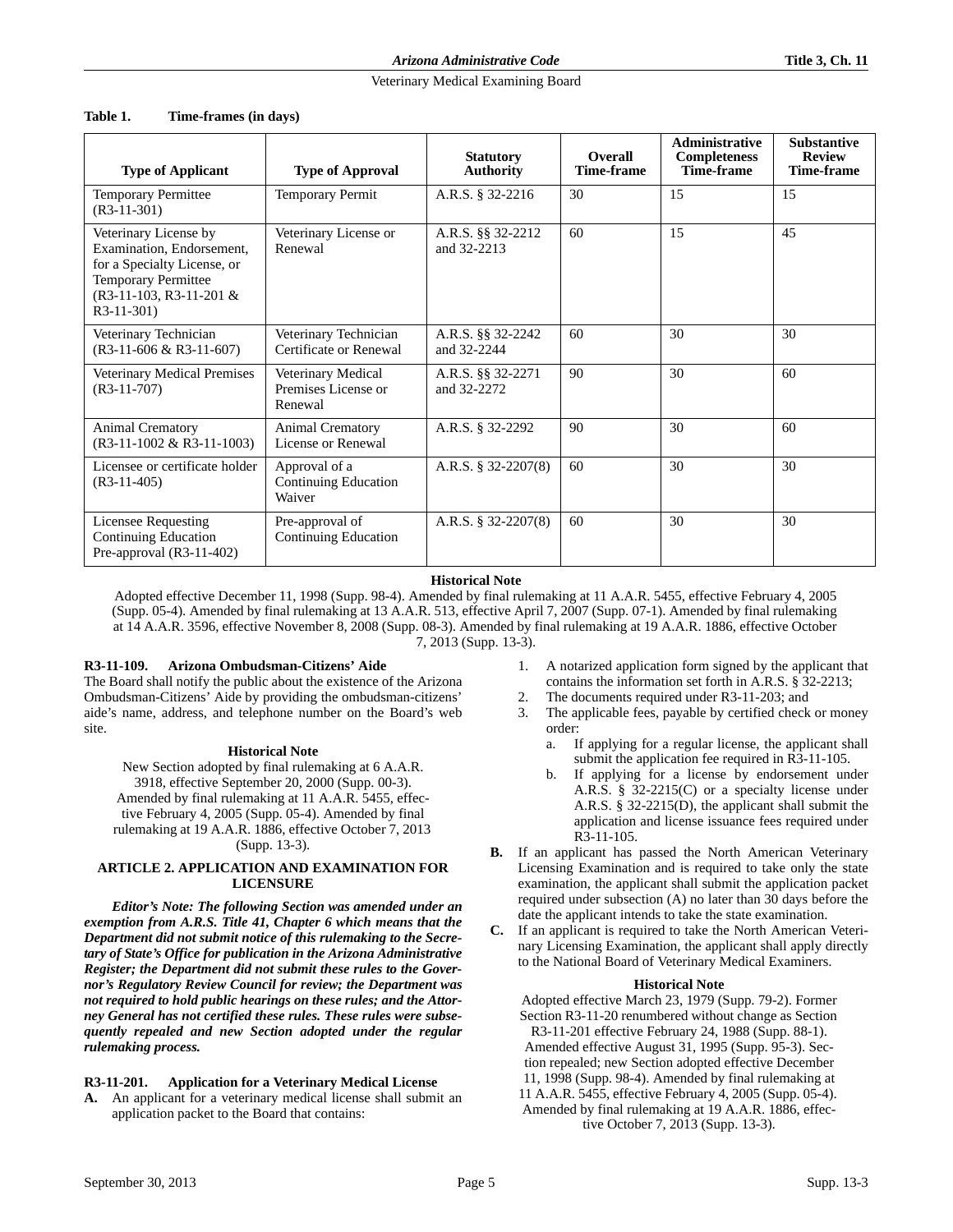| <b>Type of Applicant</b>                                                                                                                                     | <b>Type of Approval</b>                              | <b>Statutory</b><br><b>Authority</b> | <b>Overall</b><br>Time-frame | Administrative<br><b>Completeness</b><br>Time-frame | <b>Substantive</b><br><b>Review</b><br>Time-frame |
|--------------------------------------------------------------------------------------------------------------------------------------------------------------|------------------------------------------------------|--------------------------------------|------------------------------|-----------------------------------------------------|---------------------------------------------------|
| <b>Temporary Permittee</b><br>$(R3-11-301)$                                                                                                                  | <b>Temporary Permit</b>                              | A.R.S. § 32-2216                     | 30                           | 15                                                  | 15                                                |
| Veterinary License by<br>Examination, Endorsement,<br>for a Specialty License, or<br><b>Temporary Permittee</b><br>$(R3-11-103, R3-11-201 \&$<br>$R3-11-301$ | Veterinary License or<br>Renewal                     | A.R.S. §§ 32-2212<br>and 32-2213     | 60                           | 15                                                  | 45                                                |
| Veterinary Technician<br>$(R3-11-606 \& R3-11-607)$                                                                                                          | Veterinary Technician<br>Certificate or Renewal      | A.R.S. §§ 32-2242<br>and 32-2244     | 60                           | 30                                                  | 30                                                |
| Veterinary Medical Premises<br>$(R3-11-707)$                                                                                                                 | Veterinary Medical<br>Premises License or<br>Renewal | A.R.S. §§ 32-2271<br>and 32-2272     | 90                           | 30                                                  | 60                                                |
| Animal Crematory<br>$(R3-11-1002 \& R3-11-1003)$                                                                                                             | <b>Animal Crematory</b><br>License or Renewal        | A.R.S. § 32-2292                     | 90                           | 30                                                  | 60                                                |
| Licensee or certificate holder<br>$(R3-11-405)$                                                                                                              | Approval of a<br>Continuing Education<br>Waiver      | A.R.S. $\S$ 32-2207(8)               | 60                           | 30                                                  | 30                                                |
| Licensee Requesting<br><b>Continuing Education</b><br>Pre-approval (R3-11-402)                                                                               | Pre-approval of<br>Continuing Education              | A.R.S. $\S$ 32-2207(8)               | 60                           | 30                                                  | 30                                                |

#### **Table 1. Time-frames (in days)**

### **Historical Note**

Adopted effective December 11, 1998 (Supp. 98-4). Amended by final rulemaking at 11 A.A.R. 5455, effective February 4, 2005 (Supp. 05-4). Amended by final rulemaking at 13 A.A.R. 513, effective April 7, 2007 (Supp. 07-1). Amended by final rulemaking at 14 A.A.R. 3596, effective November 8, 2008 (Supp. 08-3). Amended by final rulemaking at 19 A.A.R. 1886, effective October 7, 2013 (Supp. 13-3).

# **R3-11-109. Arizona Ombudsman-Citizens' Aide**

The Board shall notify the public about the existence of the Arizona Ombudsman-Citizens' Aide by providing the ombudsman-citizens' aide's name, address, and telephone number on the Board's web site.

#### **Historical Note**

New Section adopted by final rulemaking at 6 A.A.R. 3918, effective September 20, 2000 (Supp. 00-3). Amended by final rulemaking at 11 A.A.R. 5455, effective February 4, 2005 (Supp. 05-4). Amended by final rulemaking at 19 A.A.R. 1886, effective October 7, 2013 (Supp. 13-3).

### **ARTICLE 2. APPLICATION AND EXAMINATION FOR LICENSURE**

*Editor's Note: The following Section was amended under an exemption from A.R.S. Title 41, Chapter 6 which means that the Department did not submit notice of this rulemaking to the Secretary of State's Office for publication in the Arizona Administrative Register; the Department did not submit these rules to the Governor's Regulatory Review Council for review; the Department was not required to hold public hearings on these rules; and the Attorney General has not certified these rules. These rules were subsequently repealed and new Section adopted under the regular rulemaking process.*

### **R3-11-201. Application for a Veterinary Medical License**

**A.** An applicant for a veterinary medical license shall submit an application packet to the Board that contains:

- 1. A notarized application form signed by the applicant that contains the information set forth in A.R.S. § 32-2213;
- 2. The documents required under R3-11-203; and
- 3. The applicable fees, payable by certified check or money order:
	- a. If applying for a regular license, the applicant shall submit the application fee required in R3-11-105.
	- If applying for a license by endorsement under A.R.S. § 32-2215(C) or a specialty license under A.R.S. § 32-2215(D), the applicant shall submit the application and license issuance fees required under R3-11-105.
- **B.** If an applicant has passed the North American Veterinary Licensing Examination and is required to take only the state examination, the applicant shall submit the application packet required under subsection (A) no later than 30 days before the date the applicant intends to take the state examination.
- **C.** If an applicant is required to take the North American Veterinary Licensing Examination, the applicant shall apply directly to the National Board of Veterinary Medical Examiners.

### **Historical Note**

Adopted effective March 23, 1979 (Supp. 79-2). Former Section R3-11-20 renumbered without change as Section R3-11-201 effective February 24, 1988 (Supp. 88-1). Amended effective August 31, 1995 (Supp. 95-3). Section repealed; new Section adopted effective December 11, 1998 (Supp. 98-4). Amended by final rulemaking at 11 A.A.R. 5455, effective February 4, 2005 (Supp. 05-4). Amended by final rulemaking at 19 A.A.R. 1886, effective October 7, 2013 (Supp. 13-3).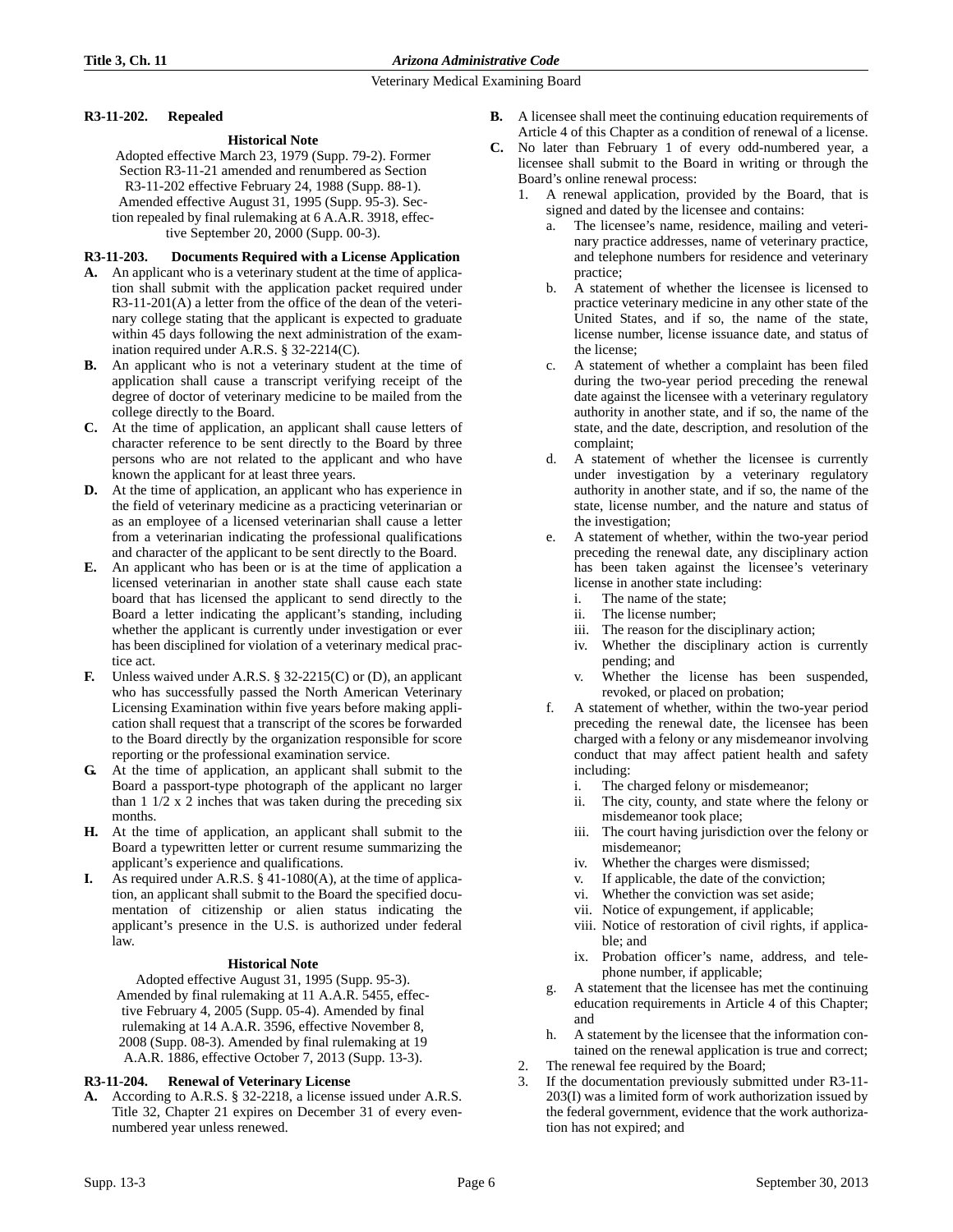### **R3-11-202. Repealed**

### **Historical Note**

Adopted effective March 23, 1979 (Supp. 79-2). Former Section R3-11-21 amended and renumbered as Section R3-11-202 effective February 24, 1988 (Supp. 88-1). Amended effective August 31, 1995 (Supp. 95-3). Section repealed by final rulemaking at 6 A.A.R. 3918, effective September 20, 2000 (Supp. 00-3).

### **R3-11-203. Documents Required with a License Application**

- **A.** An applicant who is a veterinary student at the time of application shall submit with the application packet required under R3-11-201(A) a letter from the office of the dean of the veterinary college stating that the applicant is expected to graduate within 45 days following the next administration of the examination required under A.R.S. § 32-2214(C).
- **B.** An applicant who is not a veterinary student at the time of application shall cause a transcript verifying receipt of the degree of doctor of veterinary medicine to be mailed from the college directly to the Board.
- **C.** At the time of application, an applicant shall cause letters of character reference to be sent directly to the Board by three persons who are not related to the applicant and who have known the applicant for at least three years.
- **D.** At the time of application, an applicant who has experience in the field of veterinary medicine as a practicing veterinarian or as an employee of a licensed veterinarian shall cause a letter from a veterinarian indicating the professional qualifications and character of the applicant to be sent directly to the Board.
- **E.** An applicant who has been or is at the time of application a licensed veterinarian in another state shall cause each state board that has licensed the applicant to send directly to the Board a letter indicating the applicant's standing, including whether the applicant is currently under investigation or ever has been disciplined for violation of a veterinary medical practice act.
- **F.** Unless waived under A.R.S. § 32-2215(C) or (D), an applicant who has successfully passed the North American Veterinary Licensing Examination within five years before making application shall request that a transcript of the scores be forwarded to the Board directly by the organization responsible for score reporting or the professional examination service.
- **G.** At the time of application, an applicant shall submit to the Board a passport-type photograph of the applicant no larger than 1 1/2 x 2 inches that was taken during the preceding six months.
- **H.** At the time of application, an applicant shall submit to the Board a typewritten letter or current resume summarizing the applicant's experience and qualifications.
- As required under A.R.S. § 41-1080(A), at the time of application, an applicant shall submit to the Board the specified documentation of citizenship or alien status indicating the applicant's presence in the U.S. is authorized under federal law.

### **Historical Note**

Adopted effective August 31, 1995 (Supp. 95-3). Amended by final rulemaking at 11 A.A.R. 5455, effective February 4, 2005 (Supp. 05-4). Amended by final rulemaking at 14 A.A.R. 3596, effective November 8, 2008 (Supp. 08-3). Amended by final rulemaking at 19 A.A.R. 1886, effective October 7, 2013 (Supp. 13-3).

### **R3-11-204. Renewal of Veterinary License**

**A.** According to A.R.S. § 32-2218, a license issued under A.R.S. Title 32, Chapter 21 expires on December 31 of every evennumbered year unless renewed.

- **B.** A licensee shall meet the continuing education requirements of Article 4 of this Chapter as a condition of renewal of a license.
- **C.** No later than February 1 of every odd-numbered year, a licensee shall submit to the Board in writing or through the Board's online renewal process:
	- 1. A renewal application, provided by the Board, that is signed and dated by the licensee and contains:
		- The licensee's name, residence, mailing and veterinary practice addresses, name of veterinary practice, and telephone numbers for residence and veterinary practice;
		- b. A statement of whether the licensee is licensed to practice veterinary medicine in any other state of the United States, and if so, the name of the state, license number, license issuance date, and status of the license;
		- c. A statement of whether a complaint has been filed during the two-year period preceding the renewal date against the licensee with a veterinary regulatory authority in another state, and if so, the name of the state, and the date, description, and resolution of the complaint;
		- d. A statement of whether the licensee is currently under investigation by a veterinary regulatory authority in another state, and if so, the name of the state, license number, and the nature and status of the investigation;
		- A statement of whether, within the two-year period preceding the renewal date, any disciplinary action has been taken against the licensee's veterinary license in another state including:
			- i. The name of the state;
			- ii. The license number;
			- iii. The reason for the disciplinary action;
			- iv. Whether the disciplinary action is currently pending; and
			- v. Whether the license has been suspended, revoked, or placed on probation;
		- f. A statement of whether, within the two-year period preceding the renewal date, the licensee has been charged with a felony or any misdemeanor involving conduct that may affect patient health and safety including:
			- i. The charged felony or misdemeanor;
			- ii. The city, county, and state where the felony or misdemeanor took place;
			- iii. The court having jurisdiction over the felony or misdemeanor;
			- iv. Whether the charges were dismissed;
			- v. If applicable, the date of the conviction;
			- vi. Whether the conviction was set aside;
			- vii. Notice of expungement, if applicable;
			- viii. Notice of restoration of civil rights, if applicable; and
			- ix. Probation officer's name, address, and telephone number, if applicable;
		- A statement that the licensee has met the continuing education requirements in Article 4 of this Chapter; and
		- h. A statement by the licensee that the information contained on the renewal application is true and correct;
	- 2. The renewal fee required by the Board;
	- 3. If the documentation previously submitted under R3-11- 203(I) was a limited form of work authorization issued by the federal government, evidence that the work authorization has not expired; and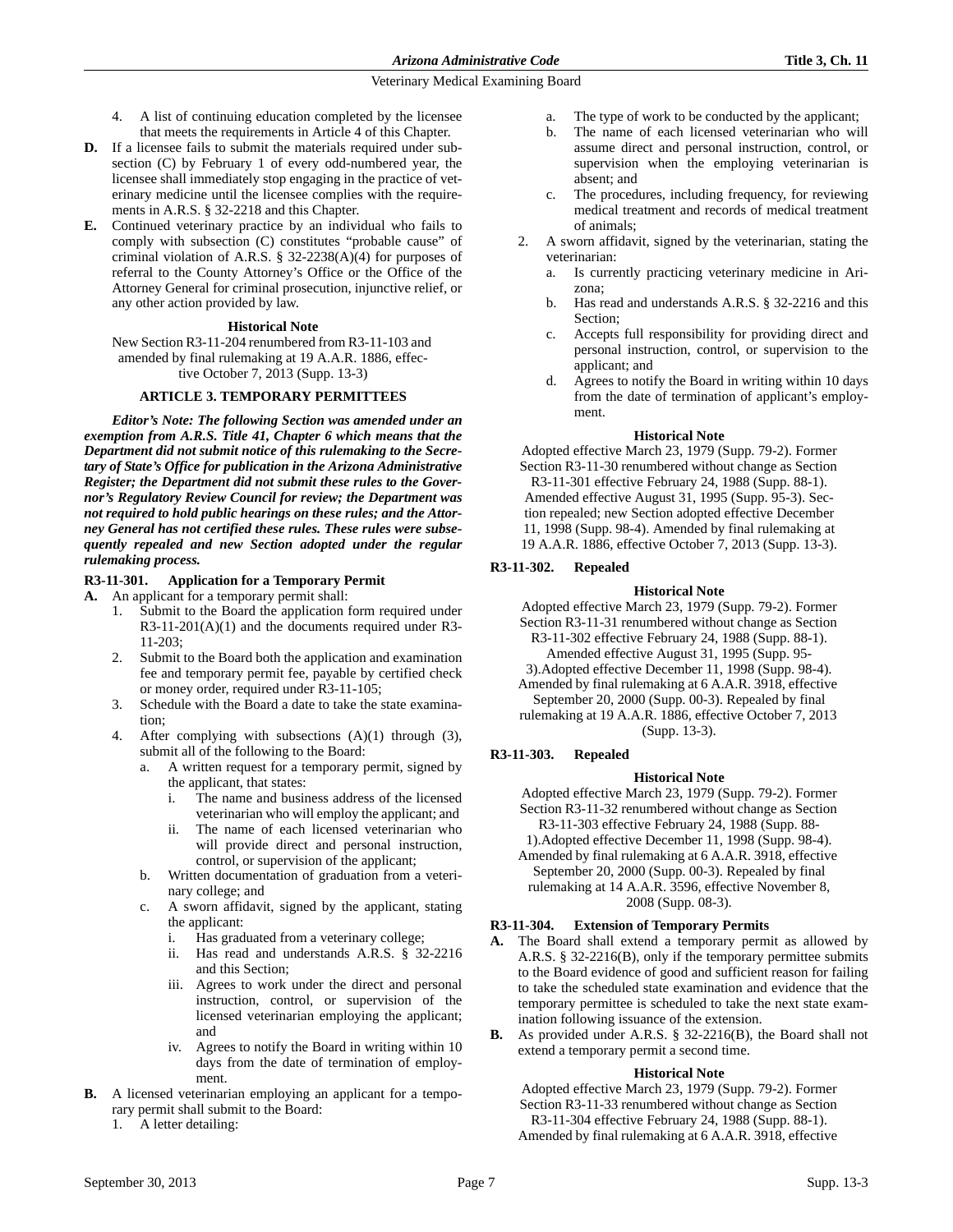- 4. A list of continuing education completed by the licensee that meets the requirements in Article 4 of this Chapter.
- **D.** If a licensee fails to submit the materials required under subsection (C) by February 1 of every odd-numbered year, the licensee shall immediately stop engaging in the practice of veterinary medicine until the licensee complies with the requirements in A.R.S. § 32-2218 and this Chapter.
- **E.** Continued veterinary practice by an individual who fails to comply with subsection (C) constitutes "probable cause" of criminal violation of A.R.S. § 32-2238(A)(4) for purposes of referral to the County Attorney's Office or the Office of the Attorney General for criminal prosecution, injunctive relief, or any other action provided by law.

### **Historical Note**

New Section R3-11-204 renumbered from R3-11-103 and amended by final rulemaking at 19 A.A.R. 1886, effective October 7, 2013 (Supp. 13-3)

### **ARTICLE 3. TEMPORARY PERMITTEES**

*Editor's Note: The following Section was amended under an exemption from A.R.S. Title 41, Chapter 6 which means that the Department did not submit notice of this rulemaking to the Secretary of State's Office for publication in the Arizona Administrative Register; the Department did not submit these rules to the Governor's Regulatory Review Council for review; the Department was not required to hold public hearings on these rules; and the Attorney General has not certified these rules. These rules were subsequently repealed and new Section adopted under the regular rulemaking process.*

### **R3-11-301. Application for a Temporary Permit**

**A.** An applicant for a temporary permit shall:

- 1. Submit to the Board the application form required under R3-11-201(A)(1) and the documents required under R3- 11-203;
- 2. Submit to the Board both the application and examination fee and temporary permit fee, payable by certified check or money order, required under R3-11-105;
- 3. Schedule with the Board a date to take the state examination;
- 4. After complying with subsections (A)(1) through (3), submit all of the following to the Board:
	- a. A written request for a temporary permit, signed by the applicant, that states:
		- i. The name and business address of the licensed veterinarian who will employ the applicant; and
		- ii. The name of each licensed veterinarian who will provide direct and personal instruction, control, or supervision of the applicant;
	- b. Written documentation of graduation from a veterinary college; and
	- c. A sworn affidavit, signed by the applicant, stating the applicant:
		- i. Has graduated from a veterinary college;
		- ii. Has read and understands A.R.S. § 32-2216 and this Section;
		- iii. Agrees to work under the direct and personal instruction, control, or supervision of the licensed veterinarian employing the applicant; and
		- iv. Agrees to notify the Board in writing within 10 days from the date of termination of employment.
- **B.** A licensed veterinarian employing an applicant for a temporary permit shall submit to the Board:
	- 1. A letter detailing:
- a. The type of work to be conducted by the applicant;
- b. The name of each licensed veterinarian who will assume direct and personal instruction, control, or supervision when the employing veterinarian is absent; and
- c. The procedures, including frequency, for reviewing medical treatment and records of medical treatment of animals;
- 2. A sworn affidavit, signed by the veterinarian, stating the veterinarian:
	- a. Is currently practicing veterinary medicine in Arizona;
	- b. Has read and understands A.R.S. § 32-2216 and this Section;
	- c. Accepts full responsibility for providing direct and personal instruction, control, or supervision to the applicant; and
	- d. Agrees to notify the Board in writing within 10 days from the date of termination of applicant's employment.

#### **Historical Note**

Adopted effective March 23, 1979 (Supp. 79-2). Former Section R3-11-30 renumbered without change as Section R3-11-301 effective February 24, 1988 (Supp. 88-1). Amended effective August 31, 1995 (Supp. 95-3). Section repealed; new Section adopted effective December 11, 1998 (Supp. 98-4). Amended by final rulemaking at 19 A.A.R. 1886, effective October 7, 2013 (Supp. 13-3).

### **R3-11-302. Repealed**

#### **Historical Note**

Adopted effective March 23, 1979 (Supp. 79-2). Former Section R3-11-31 renumbered without change as Section R3-11-302 effective February 24, 1988 (Supp. 88-1).

- Amended effective August 31, 1995 (Supp. 95-
- 3).Adopted effective December 11, 1998 (Supp. 98-4).
- Amended by final rulemaking at 6 A.A.R. 3918, effective September 20, 2000 (Supp. 00-3). Repealed by final

rulemaking at 19 A.A.R. 1886, effective October 7, 2013 (Supp. 13-3).

### **R3-11-303. Repealed**

### **Historical Note**

Adopted effective March 23, 1979 (Supp. 79-2). Former Section R3-11-32 renumbered without change as Section R3-11-303 effective February 24, 1988 (Supp. 88-

1).Adopted effective December 11, 1998 (Supp. 98-4). Amended by final rulemaking at 6 A.A.R. 3918, effective September 20, 2000 (Supp. 00-3). Repealed by final rulemaking at 14 A.A.R. 3596, effective November 8,

2008 (Supp. 08-3).

### **R3-11-304. Extension of Temporary Permits**

- **A.** The Board shall extend a temporary permit as allowed by A.R.S. § 32-2216(B), only if the temporary permittee submits to the Board evidence of good and sufficient reason for failing to take the scheduled state examination and evidence that the temporary permittee is scheduled to take the next state examination following issuance of the extension.
- **B.** As provided under A.R.S. § 32-2216(B), the Board shall not extend a temporary permit a second time.

#### **Historical Note**

Adopted effective March 23, 1979 (Supp. 79-2). Former Section R3-11-33 renumbered without change as Section R3-11-304 effective February 24, 1988 (Supp. 88-1). Amended by final rulemaking at 6 A.A.R. 3918, effective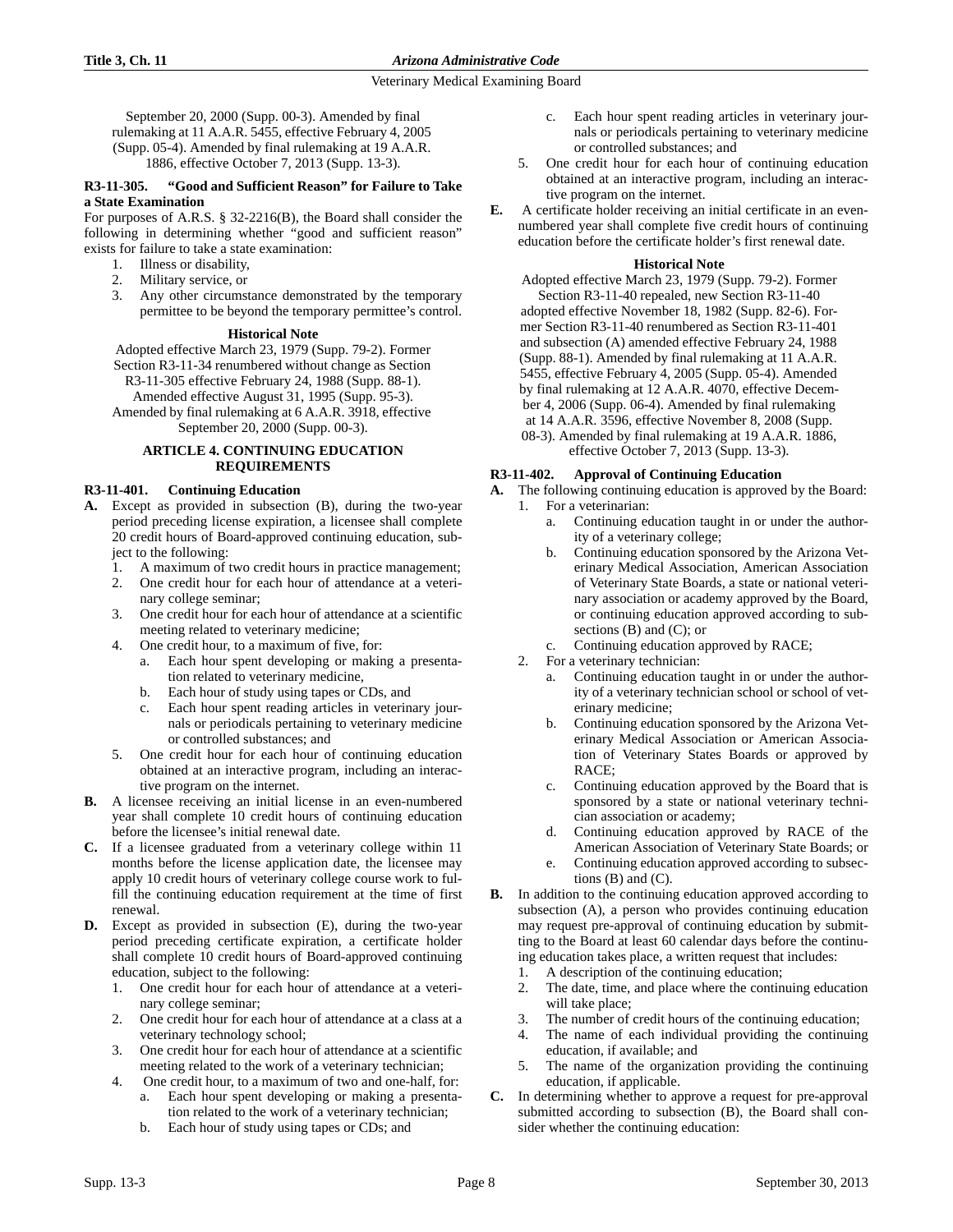September 20, 2000 (Supp. 00-3). Amended by final rulemaking at 11 A.A.R. 5455, effective February 4, 2005 (Supp. 05-4). Amended by final rulemaking at 19 A.A.R. 1886, effective October 7, 2013 (Supp. 13-3).

### **R3-11-305. "Good and Sufficient Reason" for Failure to Take a State Examination**

For purposes of A.R.S. § 32-2216(B), the Board shall consider the following in determining whether "good and sufficient reason" exists for failure to take a state examination:

- 1. Illness or disability,
- 2. Military service, or
- 3. Any other circumstance demonstrated by the temporary permittee to be beyond the temporary permittee's control.

### **Historical Note**

Adopted effective March 23, 1979 (Supp. 79-2). Former Section R3-11-34 renumbered without change as Section R3-11-305 effective February 24, 1988 (Supp. 88-1). Amended effective August 31, 1995 (Supp. 95-3). Amended by final rulemaking at 6 A.A.R. 3918, effective

# September 20, 2000 (Supp. 00-3).

# **ARTICLE 4. CONTINUING EDUCATION REQUIREMENTS**

# **R3-11-401. Continuing Education**

- **A.** Except as provided in subsection (B), during the two-year period preceding license expiration, a licensee shall complete 20 credit hours of Board-approved continuing education, subject to the following:
	- 1. A maximum of two credit hours in practice management;
	- 2. One credit hour for each hour of attendance at a veterinary college seminar;
	- 3. One credit hour for each hour of attendance at a scientific meeting related to veterinary medicine;
	- 4. One credit hour, to a maximum of five, for:
		- a. Each hour spent developing or making a presentation related to veterinary medicine,
		- b. Each hour of study using tapes or CDs, and
		- c. Each hour spent reading articles in veterinary journals or periodicals pertaining to veterinary medicine or controlled substances; and
	- 5. One credit hour for each hour of continuing education obtained at an interactive program, including an interactive program on the internet.
- **B.** A licensee receiving an initial license in an even-numbered year shall complete 10 credit hours of continuing education before the licensee's initial renewal date.
- **C.** If a licensee graduated from a veterinary college within 11 months before the license application date, the licensee may apply 10 credit hours of veterinary college course work to fulfill the continuing education requirement at the time of first renewal.
- **D.** Except as provided in subsection (E), during the two-year period preceding certificate expiration, a certificate holder shall complete 10 credit hours of Board-approved continuing education, subject to the following:
	- 1. One credit hour for each hour of attendance at a veterinary college seminar;
	- 2. One credit hour for each hour of attendance at a class at a veterinary technology school;
	- 3. One credit hour for each hour of attendance at a scientific meeting related to the work of a veterinary technician;
	- 4. One credit hour, to a maximum of two and one-half, for: a. Each hour spent developing or making a presenta
		- tion related to the work of a veterinary technician; b. Each hour of study using tapes or CDs; and
- c. Each hour spent reading articles in veterinary journals or periodicals pertaining to veterinary medicine or controlled substances; and
- 5. One credit hour for each hour of continuing education obtained at an interactive program, including an interactive program on the internet.
- **E.** A certificate holder receiving an initial certificate in an evennumbered year shall complete five credit hours of continuing education before the certificate holder's first renewal date.

### **Historical Note**

Adopted effective March 23, 1979 (Supp. 79-2). Former Section R3-11-40 repealed, new Section R3-11-40 adopted effective November 18, 1982 (Supp. 82-6). Former Section R3-11-40 renumbered as Section R3-11-401 and subsection (A) amended effective February 24, 1988 (Supp. 88-1). Amended by final rulemaking at 11 A.A.R. 5455, effective February 4, 2005 (Supp. 05-4). Amended by final rulemaking at 12 A.A.R. 4070, effective December 4, 2006 (Supp. 06-4). Amended by final rulemaking at 14 A.A.R. 3596, effective November 8, 2008 (Supp.

08-3). Amended by final rulemaking at 19 A.A.R. 1886, effective October 7, 2013 (Supp. 13-3).

# **R3-11-402. Approval of Continuing Education**

- **A.** The following continuing education is approved by the Board: 1. For a veterinarian:
	- a. Continuing education taught in or under the authority of a veterinary college;
	- b. Continuing education sponsored by the Arizona Veterinary Medical Association, American Association of Veterinary State Boards, a state or national veterinary association or academy approved by the Board, or continuing education approved according to subsections (B) and (C); or
	- c. Continuing education approved by RACE;
	- 2. For a veterinary technician:
		- a. Continuing education taught in or under the authority of a veterinary technician school or school of veterinary medicine;
		- b. Continuing education sponsored by the Arizona Veterinary Medical Association or American Association of Veterinary States Boards or approved by RACE;
		- c. Continuing education approved by the Board that is sponsored by a state or national veterinary technician association or academy;
		- d. Continuing education approved by RACE of the American Association of Veterinary State Boards; or
		- e. Continuing education approved according to subsections  $(B)$  and  $(C)$ .
- **B.** In addition to the continuing education approved according to subsection (A), a person who provides continuing education may request pre-approval of continuing education by submitting to the Board at least 60 calendar days before the continuing education takes place, a written request that includes:
	- 1. A description of the continuing education;
	- 2. The date, time, and place where the continuing education will take place;
	- 3. The number of credit hours of the continuing education;
	- 4. The name of each individual providing the continuing education, if available; and
	- 5. The name of the organization providing the continuing education, if applicable.
- **C.** In determining whether to approve a request for pre-approval submitted according to subsection (B), the Board shall consider whether the continuing education: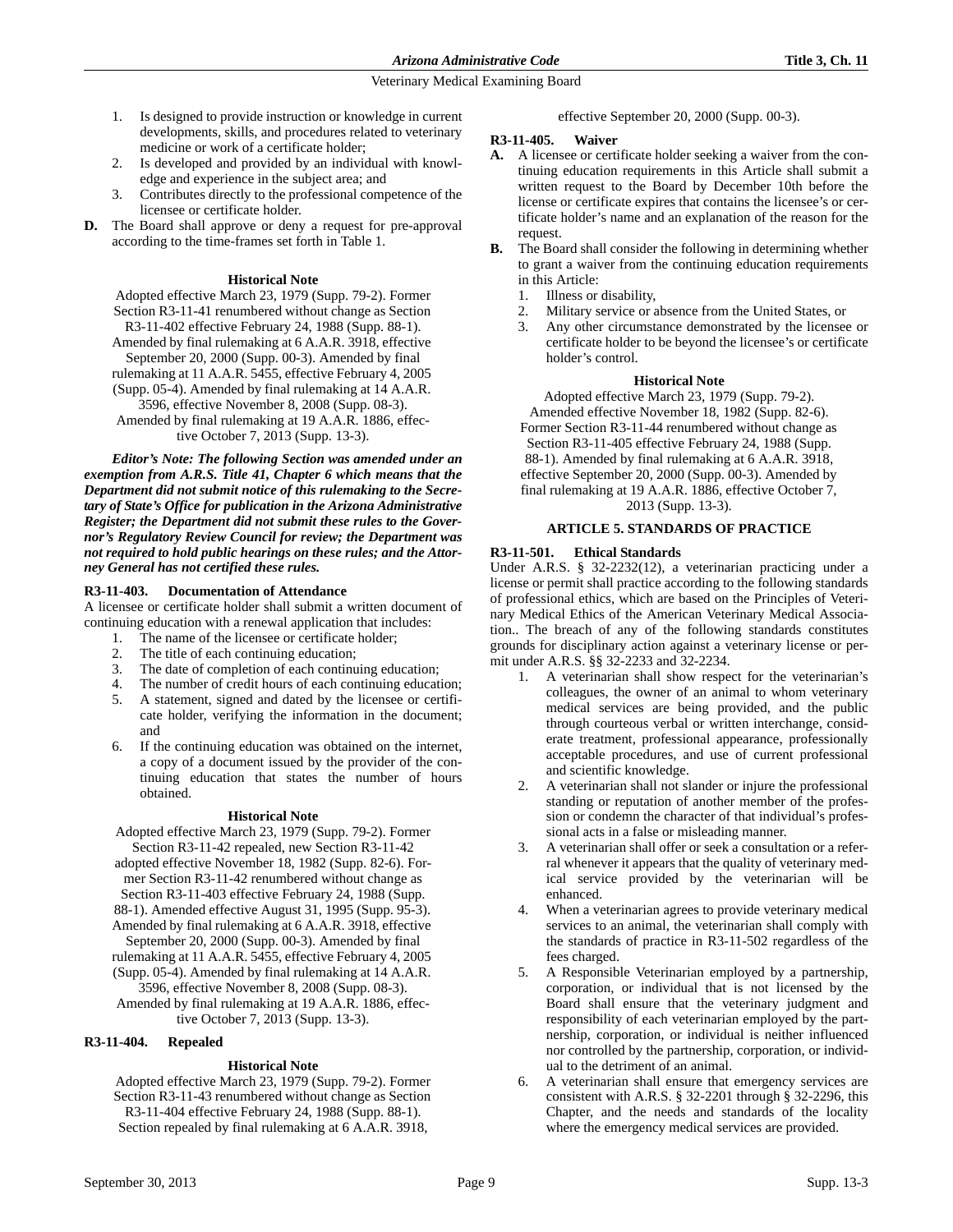- 1. Is designed to provide instruction or knowledge in current developments, skills, and procedures related to veterinary medicine or work of a certificate holder;
- 2. Is developed and provided by an individual with knowledge and experience in the subject area; and
- 3. Contributes directly to the professional competence of the licensee or certificate holder.
- **D.** The Board shall approve or deny a request for pre-approval according to the time-frames set forth in Table 1.

### **Historical Note**

Adopted effective March 23, 1979 (Supp. 79-2). Former Section R3-11-41 renumbered without change as Section R3-11-402 effective February 24, 1988 (Supp. 88-1). Amended by final rulemaking at 6 A.A.R. 3918, effective September 20, 2000 (Supp. 00-3). Amended by final rulemaking at 11 A.A.R. 5455, effective February 4, 2005 (Supp. 05-4). Amended by final rulemaking at 14 A.A.R. 3596, effective November 8, 2008 (Supp. 08-3). Amended by final rulemaking at 19 A.A.R. 1886, effective October 7, 2013 (Supp. 13-3). *Editor's Note: The following Section was amended under an*

*exemption from A.R.S. Title 41, Chapter 6 which means that the Department did not submit notice of this rulemaking to the Secretary of State's Office for publication in the Arizona Administrative Register; the Department did not submit these rules to the Governor's Regulatory Review Council for review; the Department was not required to hold public hearings on these rules; and the Attorney General has not certified these rules.* 

### **R3-11-403. Documentation of Attendance**

A licensee or certificate holder shall submit a written document of continuing education with a renewal application that includes:

- 1. The name of the licensee or certificate holder;
- 2. The title of each continuing education;
- 3. The date of completion of each continuing education;
- 4. The number of credit hours of each continuing education; 5. A statement, signed and dated by the licensee or certificate holder, verifying the information in the document; and
- 6. If the continuing education was obtained on the internet, a copy of a document issued by the provider of the continuing education that states the number of hours obtained.

### **Historical Note**

Adopted effective March 23, 1979 (Supp. 79-2). Former Section R3-11-42 repealed, new Section R3-11-42 adopted effective November 18, 1982 (Supp. 82-6). Former Section R3-11-42 renumbered without change as Section R3-11-403 effective February 24, 1988 (Supp. 88-1). Amended effective August 31, 1995 (Supp. 95-3). Amended by final rulemaking at 6 A.A.R. 3918, effective September 20, 2000 (Supp. 00-3). Amended by final rulemaking at 11 A.A.R. 5455, effective February 4, 2005 (Supp. 05-4). Amended by final rulemaking at 14 A.A.R. 3596, effective November 8, 2008 (Supp. 08-3). Amended by final rulemaking at 19 A.A.R. 1886, effective October 7, 2013 (Supp. 13-3).

### **R3-11-404. Repealed**

# **Historical Note**

Adopted effective March 23, 1979 (Supp. 79-2). Former Section R3-11-43 renumbered without change as Section R3-11-404 effective February 24, 1988 (Supp. 88-1). Section repealed by final rulemaking at 6 A.A.R. 3918,

effective September 20, 2000 (Supp. 00-3).

### **R3-11-405. Waiver**

- **A.** A licensee or certificate holder seeking a waiver from the continuing education requirements in this Article shall submit a written request to the Board by December 10th before the license or certificate expires that contains the licensee's or certificate holder's name and an explanation of the reason for the request.
- **B.** The Board shall consider the following in determining whether to grant a waiver from the continuing education requirements in this Article:
	- 1. Illness or disability,
	- 2. Military service or absence from the United States, or
	- 3. Any other circumstance demonstrated by the licensee or certificate holder to be beyond the licensee's or certificate holder's control.

### **Historical Note**

Adopted effective March 23, 1979 (Supp. 79-2). Amended effective November 18, 1982 (Supp. 82-6). Former Section R3-11-44 renumbered without change as Section R3-11-405 effective February 24, 1988 (Supp. 88-1). Amended by final rulemaking at 6 A.A.R. 3918, effective September 20, 2000 (Supp. 00-3). Amended by final rulemaking at 19 A.A.R. 1886, effective October 7, 2013 (Supp. 13-3).

### **ARTICLE 5. STANDARDS OF PRACTICE**

### **R3-11-501. Ethical Standards**

Under A.R.S. § 32-2232(12), a veterinarian practicing under a license or permit shall practice according to the following standards of professional ethics, which are based on the Principles of Veterinary Medical Ethics of the American Veterinary Medical Association.. The breach of any of the following standards constitutes grounds for disciplinary action against a veterinary license or permit under A.R.S. §§ 32-2233 and 32-2234.

- 1. A veterinarian shall show respect for the veterinarian's colleagues, the owner of an animal to whom veterinary medical services are being provided, and the public through courteous verbal or written interchange, considerate treatment, professional appearance, professionally acceptable procedures, and use of current professional and scientific knowledge.
- 2. A veterinarian shall not slander or injure the professional standing or reputation of another member of the profession or condemn the character of that individual's professional acts in a false or misleading manner.
- A veterinarian shall offer or seek a consultation or a referral whenever it appears that the quality of veterinary medical service provided by the veterinarian will be enhanced.
- When a veterinarian agrees to provide veterinary medical services to an animal, the veterinarian shall comply with the standards of practice in R3-11-502 regardless of the fees charged.
- 5. A Responsible Veterinarian employed by a partnership, corporation, or individual that is not licensed by the Board shall ensure that the veterinary judgment and responsibility of each veterinarian employed by the partnership, corporation, or individual is neither influenced nor controlled by the partnership, corporation, or individual to the detriment of an animal.
- 6. A veterinarian shall ensure that emergency services are consistent with A.R.S. § 32-2201 through § 32-2296, this Chapter, and the needs and standards of the locality where the emergency medical services are provided.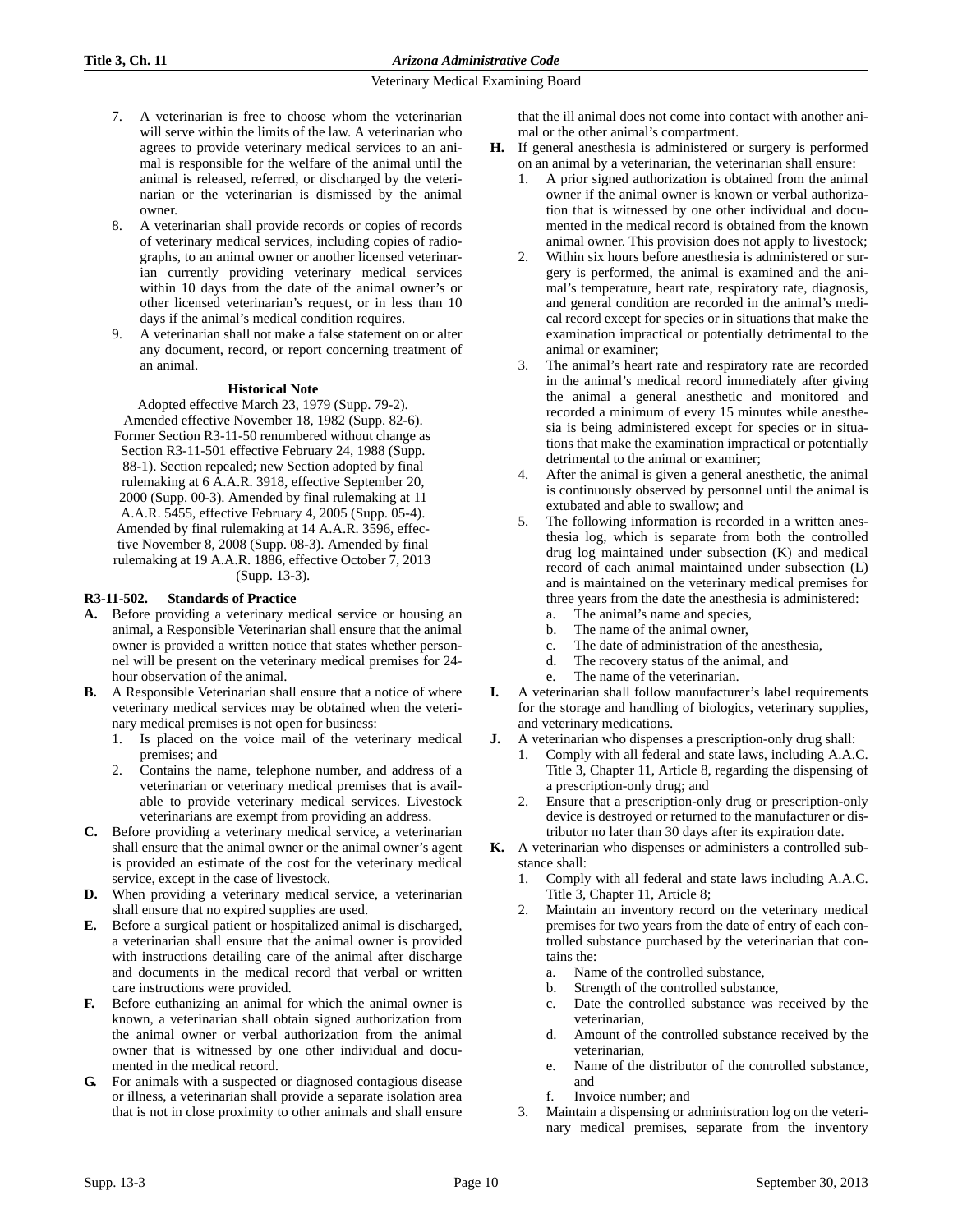- 7. A veterinarian is free to choose whom the veterinarian will serve within the limits of the law. A veterinarian who agrees to provide veterinary medical services to an animal is responsible for the welfare of the animal until the animal is released, referred, or discharged by the veterinarian or the veterinarian is dismissed by the animal owner.
- 8. A veterinarian shall provide records or copies of records of veterinary medical services, including copies of radiographs, to an animal owner or another licensed veterinarian currently providing veterinary medical services within 10 days from the date of the animal owner's or other licensed veterinarian's request, or in less than 10 days if the animal's medical condition requires.
- 9. A veterinarian shall not make a false statement on or alter any document, record, or report concerning treatment of an animal.

### **Historical Note**

Adopted effective March 23, 1979 (Supp. 79-2). Amended effective November 18, 1982 (Supp. 82-6). Former Section R3-11-50 renumbered without change as Section R3-11-501 effective February 24, 1988 (Supp. 88-1). Section repealed; new Section adopted by final rulemaking at 6 A.A.R. 3918, effective September 20, 2000 (Supp. 00-3). Amended by final rulemaking at 11 A.A.R. 5455, effective February 4, 2005 (Supp. 05-4). Amended by final rulemaking at 14 A.A.R. 3596, effective November 8, 2008 (Supp. 08-3). Amended by final rulemaking at 19 A.A.R. 1886, effective October 7, 2013 (Supp. 13-3).

### **R3-11-502. Standards of Practice**

- **A.** Before providing a veterinary medical service or housing an animal, a Responsible Veterinarian shall ensure that the animal owner is provided a written notice that states whether personnel will be present on the veterinary medical premises for 24 hour observation of the animal.
- **B.** A Responsible Veterinarian shall ensure that a notice of where veterinary medical services may be obtained when the veterinary medical premises is not open for business:
	- 1. Is placed on the voice mail of the veterinary medical premises; and
	- 2. Contains the name, telephone number, and address of a veterinarian or veterinary medical premises that is available to provide veterinary medical services. Livestock veterinarians are exempt from providing an address.
- **C.** Before providing a veterinary medical service, a veterinarian shall ensure that the animal owner or the animal owner's agent is provided an estimate of the cost for the veterinary medical service, except in the case of livestock.
- **D.** When providing a veterinary medical service, a veterinarian shall ensure that no expired supplies are used.
- **E.** Before a surgical patient or hospitalized animal is discharged, a veterinarian shall ensure that the animal owner is provided with instructions detailing care of the animal after discharge and documents in the medical record that verbal or written care instructions were provided.
- **F.** Before euthanizing an animal for which the animal owner is known, a veterinarian shall obtain signed authorization from the animal owner or verbal authorization from the animal owner that is witnessed by one other individual and documented in the medical record.
- **G.** For animals with a suspected or diagnosed contagious disease or illness, a veterinarian shall provide a separate isolation area that is not in close proximity to other animals and shall ensure

that the ill animal does not come into contact with another animal or the other animal's compartment.

- **H.** If general anesthesia is administered or surgery is performed on an animal by a veterinarian, the veterinarian shall ensure:
	- 1. A prior signed authorization is obtained from the animal owner if the animal owner is known or verbal authorization that is witnessed by one other individual and documented in the medical record is obtained from the known animal owner. This provision does not apply to livestock;
	- 2. Within six hours before anesthesia is administered or surgery is performed, the animal is examined and the animal's temperature, heart rate, respiratory rate, diagnosis, and general condition are recorded in the animal's medical record except for species or in situations that make the examination impractical or potentially detrimental to the animal or examiner;
	- The animal's heart rate and respiratory rate are recorded in the animal's medical record immediately after giving the animal a general anesthetic and monitored and recorded a minimum of every 15 minutes while anesthesia is being administered except for species or in situations that make the examination impractical or potentially detrimental to the animal or examiner;
	- 4. After the animal is given a general anesthetic, the animal is continuously observed by personnel until the animal is extubated and able to swallow; and
	- 5. The following information is recorded in a written anesthesia log, which is separate from both the controlled drug log maintained under subsection (K) and medical record of each animal maintained under subsection (L) and is maintained on the veterinary medical premises for three years from the date the anesthesia is administered:
		- a. The animal's name and species,
		- b. The name of the animal owner,
		- c. The date of administration of the anesthesia,
		- d. The recovery status of the animal, and
		- e. The name of the veterinarian.
- **I.** A veterinarian shall follow manufacturer's label requirements for the storage and handling of biologics, veterinary supplies, and veterinary medications.
- **J.** A veterinarian who dispenses a prescription-only drug shall:
	- 1. Comply with all federal and state laws, including A.A.C. Title 3, Chapter 11, Article 8, regarding the dispensing of a prescription-only drug; and
	- 2. Ensure that a prescription-only drug or prescription-only device is destroyed or returned to the manufacturer or distributor no later than 30 days after its expiration date.
- **K.** A veterinarian who dispenses or administers a controlled substance shall:
	- 1. Comply with all federal and state laws including A.A.C. Title 3, Chapter 11, Article 8;
	- 2. Maintain an inventory record on the veterinary medical premises for two years from the date of entry of each controlled substance purchased by the veterinarian that contains the:
		- a. Name of the controlled substance,
		- b. Strength of the controlled substance,
		- c. Date the controlled substance was received by the veterinarian,
		- d. Amount of the controlled substance received by the veterinarian,
		- e. Name of the distributor of the controlled substance, and
		- f. Invoice number; and
	- 3. Maintain a dispensing or administration log on the veterinary medical premises, separate from the inventory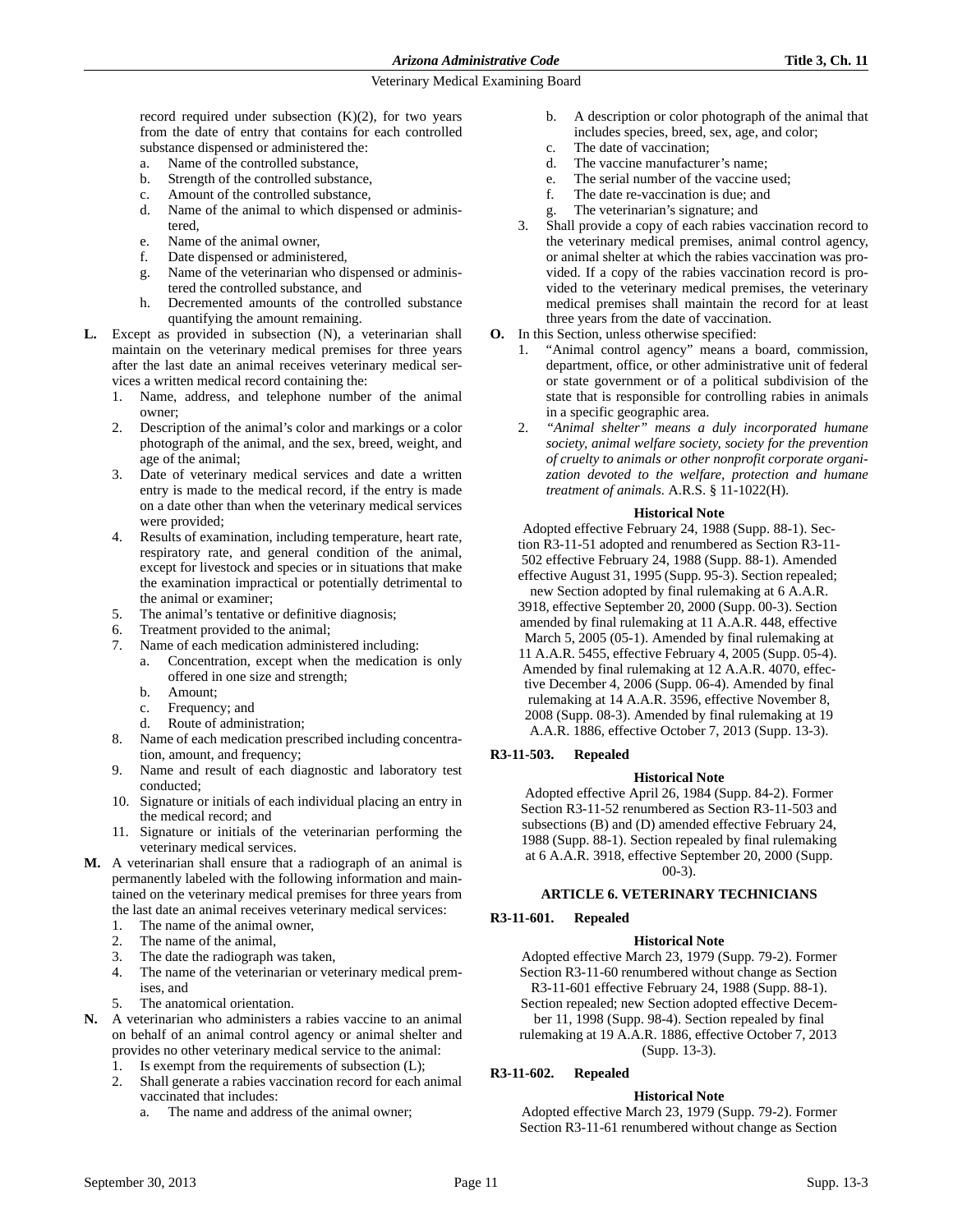record required under subsection  $(K)(2)$ , for two years from the date of entry that contains for each controlled substance dispensed or administered the:

- a. Name of the controlled substance,
- b. Strength of the controlled substance,
- c. Amount of the controlled substance,
- d. Name of the animal to which dispensed or administered,
- e. Name of the animal owner,
- f. Date dispensed or administered,
- g. Name of the veterinarian who dispensed or administered the controlled substance, and
- h. Decremented amounts of the controlled substance quantifying the amount remaining.
- **L.** Except as provided in subsection (N), a veterinarian shall maintain on the veterinary medical premises for three years after the last date an animal receives veterinary medical services a written medical record containing the:
	- 1. Name, address, and telephone number of the animal owner;
	- 2. Description of the animal's color and markings or a color photograph of the animal, and the sex, breed, weight, and age of the animal;
	- 3. Date of veterinary medical services and date a written entry is made to the medical record, if the entry is made on a date other than when the veterinary medical services were provided;
	- 4. Results of examination, including temperature, heart rate, respiratory rate, and general condition of the animal, except for livestock and species or in situations that make the examination impractical or potentially detrimental to the animal or examiner;
	- The animal's tentative or definitive diagnosis;
	- 6. Treatment provided to the animal;
	- 7. Name of each medication administered including:
		- a. Concentration, except when the medication is only offered in one size and strength;
		- b. Amount;
		- c. Frequency; and
		- d. Route of administration;
	- 8. Name of each medication prescribed including concentration, amount, and frequency;
	- 9. Name and result of each diagnostic and laboratory test conducted;
	- 10. Signature or initials of each individual placing an entry in the medical record; and
	- 11. Signature or initials of the veterinarian performing the veterinary medical services.
- **M.** A veterinarian shall ensure that a radiograph of an animal is permanently labeled with the following information and maintained on the veterinary medical premises for three years from the last date an animal receives veterinary medical services:
	- 1. The name of the animal owner,
	- 2. The name of the animal,
	- 3. The date the radiograph was taken,
	- 4. The name of the veterinarian or veterinary medical premises, and
	- 5. The anatomical orientation.
- **N.** A veterinarian who administers a rabies vaccine to an animal on behalf of an animal control agency or animal shelter and provides no other veterinary medical service to the animal:
	- 1. Is exempt from the requirements of subsection (L);
	- 2. Shall generate a rabies vaccination record for each animal vaccinated that includes:
		- The name and address of the animal owner;
- b. A description or color photograph of the animal that includes species, breed, sex, age, and color;
- c. The date of vaccination;
- d. The vaccine manufacturer's name;
- e. The serial number of the vaccine used;
- f. The date re-vaccination is due; and
- The veterinarian's signature; and
- 3. Shall provide a copy of each rabies vaccination record to the veterinary medical premises, animal control agency, or animal shelter at which the rabies vaccination was provided. If a copy of the rabies vaccination record is provided to the veterinary medical premises, the veterinary medical premises shall maintain the record for at least three years from the date of vaccination.
- **O.** In this Section, unless otherwise specified:
	- "Animal control agency" means a board, commission, department, office, or other administrative unit of federal or state government or of a political subdivision of the state that is responsible for controlling rabies in animals in a specific geographic area.
	- 2. *"Animal shelter" means a duly incorporated humane society, animal welfare society, society for the prevention of cruelty to animals or other nonprofit corporate organization devoted to the welfare, protection and humane treatment of animals.* A.R.S. § 11-1022(H).

#### **Historical Note**

Adopted effective February 24, 1988 (Supp. 88-1). Section R3-11-51 adopted and renumbered as Section R3-11- 502 effective February 24, 1988 (Supp. 88-1). Amended effective August 31, 1995 (Supp. 95-3). Section repealed; new Section adopted by final rulemaking at 6 A.A.R.

3918, effective September 20, 2000 (Supp. 00-3). Section amended by final rulemaking at 11 A.A.R. 448, effective March 5, 2005 (05-1). Amended by final rulemaking at 11 A.A.R. 5455, effective February 4, 2005 (Supp. 05-4). Amended by final rulemaking at 12 A.A.R. 4070, effective December 4, 2006 (Supp. 06-4). Amended by final rulemaking at 14 A.A.R. 3596, effective November 8, 2008 (Supp. 08-3). Amended by final rulemaking at 19 A.A.R. 1886, effective October 7, 2013 (Supp. 13-3).

### **R3-11-503. Repealed**

### **Historical Note**

Adopted effective April 26, 1984 (Supp. 84-2). Former Section R3-11-52 renumbered as Section R3-11-503 and subsections (B) and (D) amended effective February 24, 1988 (Supp. 88-1). Section repealed by final rulemaking at 6 A.A.R. 3918, effective September 20, 2000 (Supp.  $(00-3)$ .

### **ARTICLE 6. VETERINARY TECHNICIANS**

# **R3-11-601. Repealed**

#### **Historical Note**

Adopted effective March 23, 1979 (Supp. 79-2). Former Section R3-11-60 renumbered without change as Section

R3-11-601 effective February 24, 1988 (Supp. 88-1). Section repealed; new Section adopted effective Decem-

ber 11, 1998 (Supp. 98-4). Section repealed by final rulemaking at 19 A.A.R. 1886, effective October 7, 2013

(Supp. 13-3).

### **R3-11-602. Repealed**

### **Historical Note**

Adopted effective March 23, 1979 (Supp. 79-2). Former Section R3-11-61 renumbered without change as Section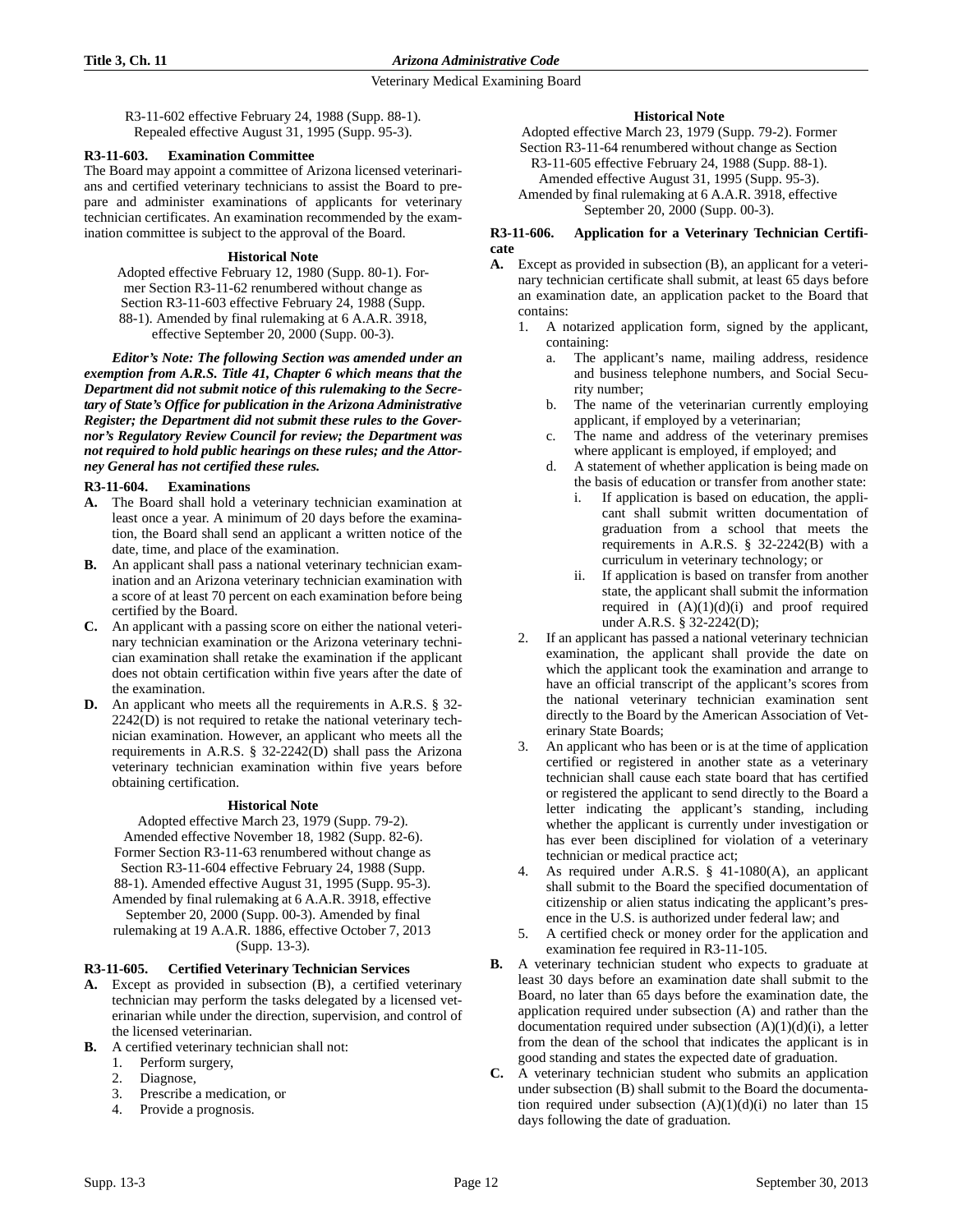R3-11-602 effective February 24, 1988 (Supp. 88-1). Repealed effective August 31, 1995 (Supp. 95-3).

### **R3-11-603. Examination Committee**

The Board may appoint a committee of Arizona licensed veterinarians and certified veterinary technicians to assist the Board to prepare and administer examinations of applicants for veterinary technician certificates. An examination recommended by the examination committee is subject to the approval of the Board.

### **Historical Note**

Adopted effective February 12, 1980 (Supp. 80-1). Former Section R3-11-62 renumbered without change as Section R3-11-603 effective February 24, 1988 (Supp.

88-1). Amended by final rulemaking at 6 A.A.R. 3918,

effective September 20, 2000 (Supp. 00-3).

*Editor's Note: The following Section was amended under an exemption from A.R.S. Title 41, Chapter 6 which means that the Department did not submit notice of this rulemaking to the Secretary of State's Office for publication in the Arizona Administrative Register; the Department did not submit these rules to the Governor's Regulatory Review Council for review; the Department was not required to hold public hearings on these rules; and the Attorney General has not certified these rules.* 

# **R3-11-604. Examinations**

- **A.** The Board shall hold a veterinary technician examination at least once a year. A minimum of 20 days before the examination, the Board shall send an applicant a written notice of the date, time, and place of the examination.
- **B.** An applicant shall pass a national veterinary technician examination and an Arizona veterinary technician examination with a score of at least 70 percent on each examination before being certified by the Board.
- **C.** An applicant with a passing score on either the national veterinary technician examination or the Arizona veterinary technician examination shall retake the examination if the applicant does not obtain certification within five years after the date of the examination.
- **D.** An applicant who meets all the requirements in A.R.S. § 32- 2242(D) is not required to retake the national veterinary technician examination. However, an applicant who meets all the requirements in A.R.S. § 32-2242(D) shall pass the Arizona veterinary technician examination within five years before obtaining certification.

# **Historical Note**

Adopted effective March 23, 1979 (Supp. 79-2). Amended effective November 18, 1982 (Supp. 82-6). Former Section R3-11-63 renumbered without change as Section R3-11-604 effective February 24, 1988 (Supp. 88-1). Amended effective August 31, 1995 (Supp. 95-3). Amended by final rulemaking at 6 A.A.R. 3918, effective September 20, 2000 (Supp. 00-3). Amended by final rulemaking at 19 A.A.R. 1886, effective October 7, 2013

(Supp. 13-3).

# **R3-11-605. Certified Veterinary Technician Services**

- **A.** Except as provided in subsection (B), a certified veterinary technician may perform the tasks delegated by a licensed veterinarian while under the direction, supervision, and control of the licensed veterinarian.
- **B.** A certified veterinary technician shall not:
	- 1. Perform surgery,
	- 2. Diagnose,<br>3. Prescribe
	- Prescribe a medication, or
	- 4. Provide a prognosis.

### **Historical Note**

Adopted effective March 23, 1979 (Supp. 79-2). Former Section R3-11-64 renumbered without change as Section R3-11-605 effective February 24, 1988 (Supp. 88-1). Amended effective August 31, 1995 (Supp. 95-3). Amended by final rulemaking at 6 A.A.R. 3918, effective September 20, 2000 (Supp. 00-3).

### **R3-11-606. Application for a Veterinary Technician Certificate**

- **A.** Except as provided in subsection (B), an applicant for a veterinary technician certificate shall submit, at least 65 days before an examination date, an application packet to the Board that contains:
	- 1. A notarized application form, signed by the applicant, containing:
		- a. The applicant's name, mailing address, residence and business telephone numbers, and Social Security number;
		- b. The name of the veterinarian currently employing applicant, if employed by a veterinarian;
		- c. The name and address of the veterinary premises where applicant is employed, if employed; and
		- d. A statement of whether application is being made on the basis of education or transfer from another state:
			- i. If application is based on education, the applicant shall submit written documentation of graduation from a school that meets the requirements in A.R.S. § 32-2242(B) with a curriculum in veterinary technology; or
			- ii. If application is based on transfer from another state, the applicant shall submit the information required in  $(A)(1)(d)(i)$  and proof required under A.R.S. § 32-2242(D);
	- 2. If an applicant has passed a national veterinary technician examination, the applicant shall provide the date on which the applicant took the examination and arrange to have an official transcript of the applicant's scores from the national veterinary technician examination sent directly to the Board by the American Association of Veterinary State Boards;
	- An applicant who has been or is at the time of application certified or registered in another state as a veterinary technician shall cause each state board that has certified or registered the applicant to send directly to the Board a letter indicating the applicant's standing, including whether the applicant is currently under investigation or has ever been disciplined for violation of a veterinary technician or medical practice act;
	- 4. As required under A.R.S. § 41-1080(A), an applicant shall submit to the Board the specified documentation of citizenship or alien status indicating the applicant's presence in the U.S. is authorized under federal law; and
	- 5. A certified check or money order for the application and examination fee required in R3-11-105.
- **B.** A veterinary technician student who expects to graduate at least 30 days before an examination date shall submit to the Board, no later than 65 days before the examination date, the application required under subsection (A) and rather than the documentation required under subsection  $(A)(1)(d)(i)$ , a letter from the dean of the school that indicates the applicant is in good standing and states the expected date of graduation.
- **C.** A veterinary technician student who submits an application under subsection (B) shall submit to the Board the documentation required under subsection  $(A)(1)(d)(i)$  no later than 15 days following the date of graduation.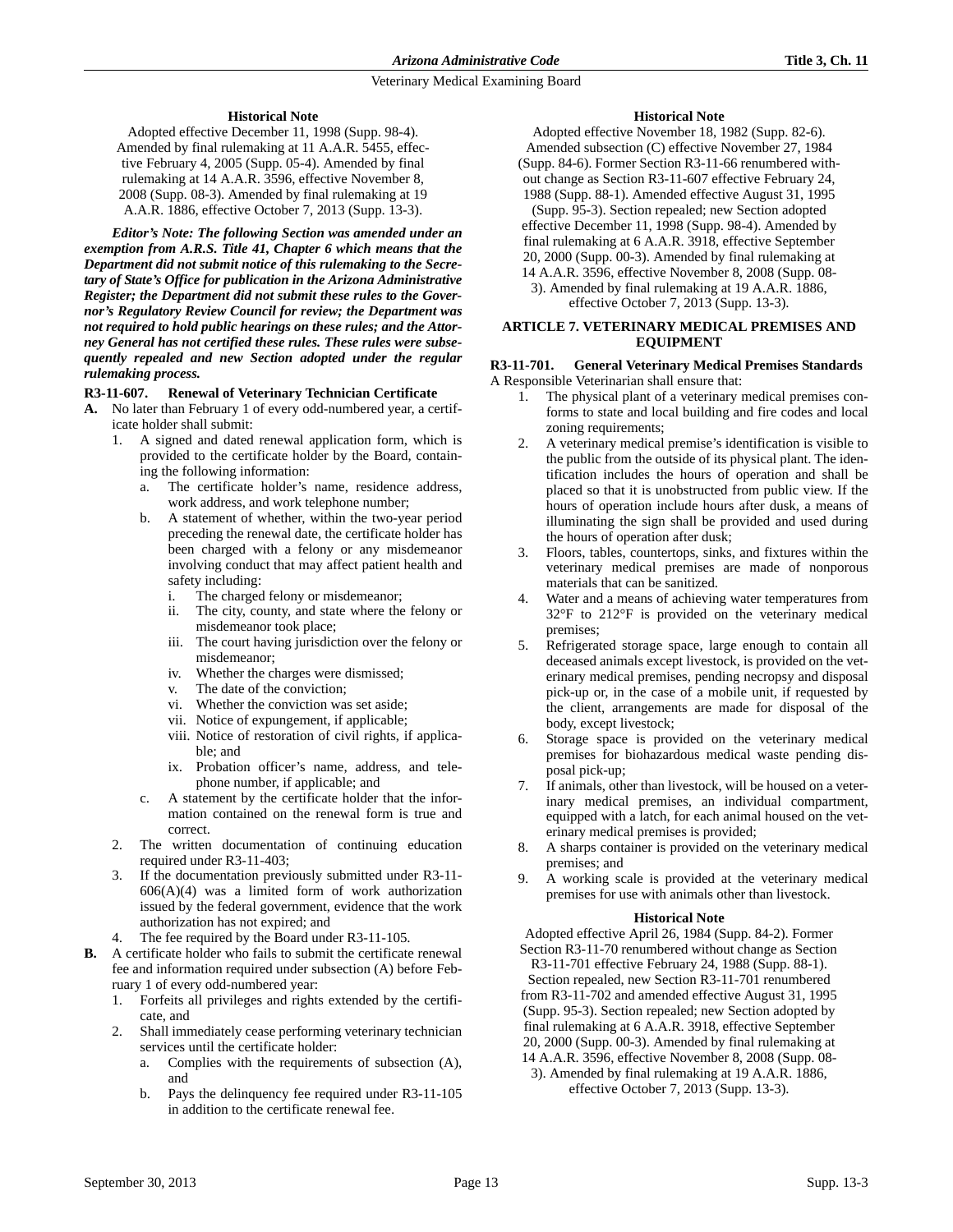### **Historical Note**

Adopted effective December 11, 1998 (Supp. 98-4). Amended by final rulemaking at 11 A.A.R. 5455, effective February 4, 2005 (Supp. 05-4). Amended by final rulemaking at 14 A.A.R. 3596, effective November 8, 2008 (Supp. 08-3). Amended by final rulemaking at 19 A.A.R. 1886, effective October 7, 2013 (Supp. 13-3).

*Editor's Note: The following Section was amended under an exemption from A.R.S. Title 41, Chapter 6 which means that the Department did not submit notice of this rulemaking to the Secretary of State's Office for publication in the Arizona Administrative Register; the Department did not submit these rules to the Governor's Regulatory Review Council for review; the Department was not required to hold public hearings on these rules; and the Attorney General has not certified these rules. These rules were subsequently repealed and new Section adopted under the regular rulemaking process.*

### **R3-11-607. Renewal of Veterinary Technician Certificate**

- **A.** No later than February 1 of every odd-numbered year, a certificate holder shall submit:
	- 1. A signed and dated renewal application form, which is provided to the certificate holder by the Board, containing the following information:
		- a. The certificate holder's name, residence address, work address, and work telephone number;
		- b. A statement of whether, within the two-year period preceding the renewal date, the certificate holder has been charged with a felony or any misdemeanor involving conduct that may affect patient health and safety including:
			- i. The charged felony or misdemeanor;
			- ii. The city, county, and state where the felony or misdemeanor took place;
			- iii. The court having jurisdiction over the felony or misdemeanor;
			- iv. Whether the charges were dismissed;
			- v. The date of the conviction;
			- vi. Whether the conviction was set aside;
			- vii. Notice of expungement, if applicable;
			- viii. Notice of restoration of civil rights, if applicable; and
			- ix. Probation officer's name, address, and telephone number, if applicable; and
		- c. A statement by the certificate holder that the information contained on the renewal form is true and correct.
	- 2. The written documentation of continuing education required under R3-11-403;
	- 3. If the documentation previously submitted under R3-11-  $606(A)(4)$  was a limited form of work authorization issued by the federal government, evidence that the work authorization has not expired; and
	- 4. The fee required by the Board under R3-11-105.
- **B.** A certificate holder who fails to submit the certificate renewal fee and information required under subsection (A) before February 1 of every odd-numbered year:
	- 1. Forfeits all privileges and rights extended by the certificate, and
	- 2. Shall immediately cease performing veterinary technician services until the certificate holder:
		- a. Complies with the requirements of subsection (A), and
		- b. Pays the delinquency fee required under R3-11-105 in addition to the certificate renewal fee.

### **Historical Note**

Adopted effective November 18, 1982 (Supp. 82-6). Amended subsection (C) effective November 27, 1984 (Supp. 84-6). Former Section R3-11-66 renumbered without change as Section R3-11-607 effective February 24, 1988 (Supp. 88-1). Amended effective August 31, 1995 (Supp. 95-3). Section repealed; new Section adopted effective December 11, 1998 (Supp. 98-4). Amended by final rulemaking at 6 A.A.R. 3918, effective September 20, 2000 (Supp. 00-3). Amended by final rulemaking at 14 A.A.R. 3596, effective November 8, 2008 (Supp. 08- 3). Amended by final rulemaking at 19 A.A.R. 1886, effective October 7, 2013 (Supp. 13-3).

### **ARTICLE 7. VETERINARY MEDICAL PREMISES AND EQUIPMENT**

# **R3-11-701. General Veterinary Medical Premises Standards**

A Responsible Veterinarian shall ensure that:

- 1. The physical plant of a veterinary medical premises conforms to state and local building and fire codes and local zoning requirements;
- 2. A veterinary medical premise's identification is visible to the public from the outside of its physical plant. The identification includes the hours of operation and shall be placed so that it is unobstructed from public view. If the hours of operation include hours after dusk, a means of illuminating the sign shall be provided and used during the hours of operation after dusk;
- 3. Floors, tables, countertops, sinks, and fixtures within the veterinary medical premises are made of nonporous materials that can be sanitized.
- Water and a means of achieving water temperatures from 32°F to 212°F is provided on the veterinary medical premises;
- 5. Refrigerated storage space, large enough to contain all deceased animals except livestock, is provided on the veterinary medical premises, pending necropsy and disposal pick-up or, in the case of a mobile unit, if requested by the client, arrangements are made for disposal of the body, except livestock;
- 6. Storage space is provided on the veterinary medical premises for biohazardous medical waste pending disposal pick-up;
- 7. If animals, other than livestock, will be housed on a veterinary medical premises, an individual compartment, equipped with a latch, for each animal housed on the veterinary medical premises is provided;
- 8. A sharps container is provided on the veterinary medical premises; and
- 9. A working scale is provided at the veterinary medical premises for use with animals other than livestock.

### **Historical Note**

Adopted effective April 26, 1984 (Supp. 84-2). Former Section R3-11-70 renumbered without change as Section

R3-11-701 effective February 24, 1988 (Supp. 88-1). Section repealed, new Section R3-11-701 renumbered from R3-11-702 and amended effective August 31, 1995 (Supp. 95-3). Section repealed; new Section adopted by final rulemaking at 6 A.A.R. 3918, effective September 20, 2000 (Supp. 00-3). Amended by final rulemaking at 14 A.A.R. 3596, effective November 8, 2008 (Supp. 08-

3). Amended by final rulemaking at 19 A.A.R. 1886, effective October 7, 2013 (Supp. 13-3).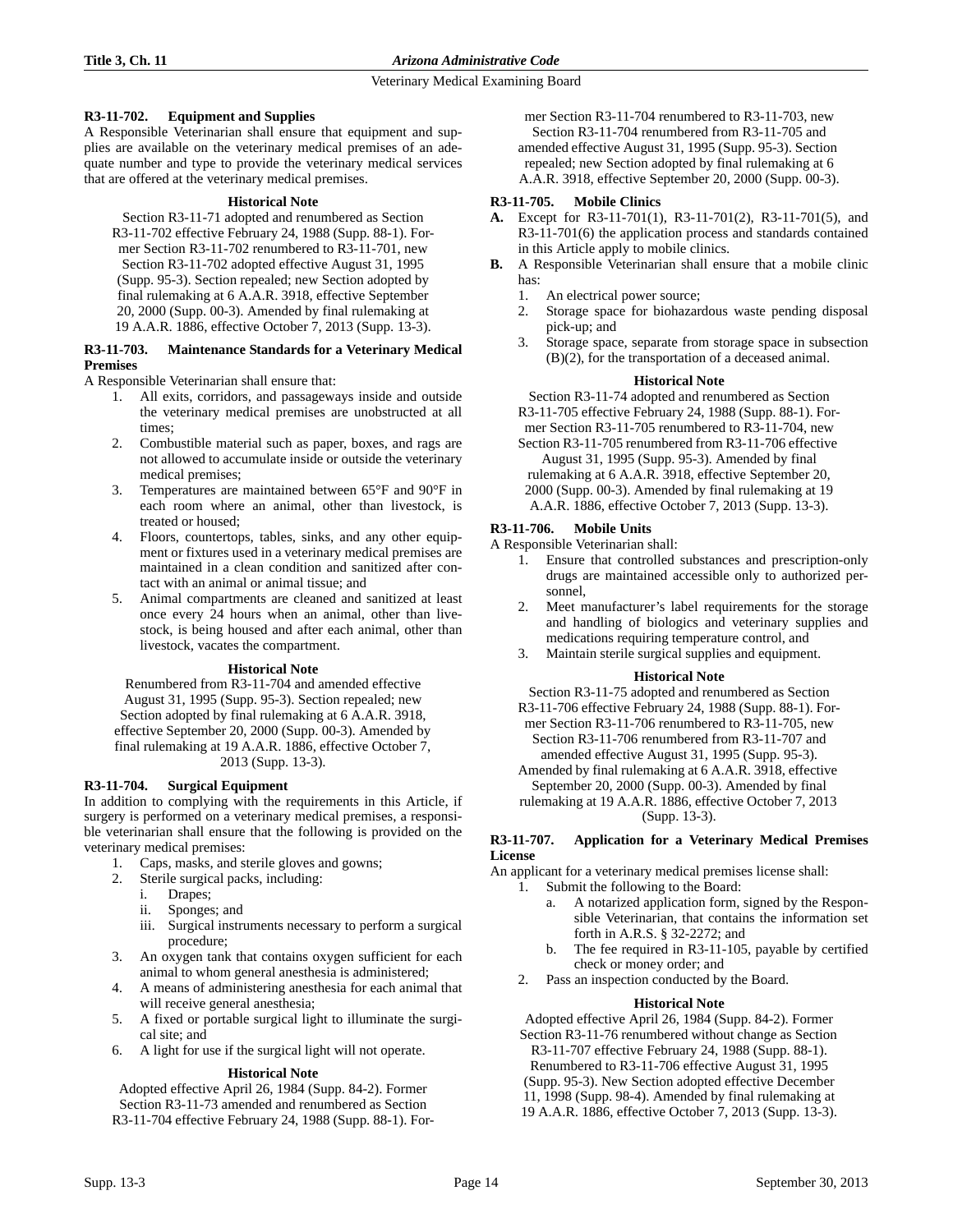# **R3-11-702. Equipment and Supplies**

A Responsible Veterinarian shall ensure that equipment and supplies are available on the veterinary medical premises of an adequate number and type to provide the veterinary medical services that are offered at the veterinary medical premises.

#### **Historical Note**

Section R3-11-71 adopted and renumbered as Section R3-11-702 effective February 24, 1988 (Supp. 88-1). Former Section R3-11-702 renumbered to R3-11-701, new Section R3-11-702 adopted effective August 31, 1995 (Supp. 95-3). Section repealed; new Section adopted by final rulemaking at 6 A.A.R. 3918, effective September 20, 2000 (Supp. 00-3). Amended by final rulemaking at 19 A.A.R. 1886, effective October 7, 2013 (Supp. 13-3).

#### **R3-11-703. Maintenance Standards for a Veterinary Medical Premises**

A Responsible Veterinarian shall ensure that:

- 1. All exits, corridors, and passageways inside and outside the veterinary medical premises are unobstructed at all times;
- 2. Combustible material such as paper, boxes, and rags are not allowed to accumulate inside or outside the veterinary medical premises;
- 3. Temperatures are maintained between 65°F and 90°F in each room where an animal, other than livestock, is treated or housed;
- 4. Floors, countertops, tables, sinks, and any other equipment or fixtures used in a veterinary medical premises are maintained in a clean condition and sanitized after contact with an animal or animal tissue; and
- 5. Animal compartments are cleaned and sanitized at least once every 24 hours when an animal, other than livestock, is being housed and after each animal, other than livestock, vacates the compartment.

### **Historical Note**

Renumbered from R3-11-704 and amended effective August 31, 1995 (Supp. 95-3). Section repealed; new Section adopted by final rulemaking at 6 A.A.R. 3918, effective September 20, 2000 (Supp. 00-3). Amended by final rulemaking at 19 A.A.R. 1886, effective October 7, 2013 (Supp. 13-3).

# **R3-11-704. Surgical Equipment**

In addition to complying with the requirements in this Article, if surgery is performed on a veterinary medical premises, a responsible veterinarian shall ensure that the following is provided on the veterinary medical premises:

- 1. Caps, masks, and sterile gloves and gowns;
- 2. Sterile surgical packs, including:
	- i. Drapes;
	- ii. Sponges; and
	- iii. Surgical instruments necessary to perform a surgical procedure;
- 3. An oxygen tank that contains oxygen sufficient for each animal to whom general anesthesia is administered;
- 4. A means of administering anesthesia for each animal that will receive general anesthesia;
- 5. A fixed or portable surgical light to illuminate the surgical site; and
- 6. A light for use if the surgical light will not operate.

### **Historical Note**

Adopted effective April 26, 1984 (Supp. 84-2). Former Section R3-11-73 amended and renumbered as Section R3-11-704 effective February 24, 1988 (Supp. 88-1). For-

mer Section R3-11-704 renumbered to R3-11-703, new Section R3-11-704 renumbered from R3-11-705 and amended effective August 31, 1995 (Supp. 95-3). Section repealed; new Section adopted by final rulemaking at 6 A.A.R. 3918, effective September 20, 2000 (Supp. 00-3).

### **R3-11-705. Mobile Clinics**

- **A.** Except for R3-11-701(1), R3-11-701(2), R3-11-701(5), and R3-11-701(6) the application process and standards contained in this Article apply to mobile clinics.
- **B.** A Responsible Veterinarian shall ensure that a mobile clinic has:
	- 1. An electrical power source;
	- 2. Storage space for biohazardous waste pending disposal pick-up; and
	- 3. Storage space, separate from storage space in subsection (B)(2), for the transportation of a deceased animal.

### **Historical Note**

Section R3-11-74 adopted and renumbered as Section R3-11-705 effective February 24, 1988 (Supp. 88-1). Former Section R3-11-705 renumbered to R3-11-704, new

Section R3-11-705 renumbered from R3-11-706 effective August 31, 1995 (Supp. 95-3). Amended by final rulemaking at 6 A.A.R. 3918, effective September 20, 2000 (Supp. 00-3). Amended by final rulemaking at 19 A.A.R. 1886, effective October 7, 2013 (Supp. 13-3).

### **R3-11-706. Mobile Units**

A Responsible Veterinarian shall:

- 1. Ensure that controlled substances and prescription-only drugs are maintained accessible only to authorized personnel,
- 2. Meet manufacturer's label requirements for the storage and handling of biologics and veterinary supplies and medications requiring temperature control, and
- 3. Maintain sterile surgical supplies and equipment.

### **Historical Note**

Section R3-11-75 adopted and renumbered as Section

R3-11-706 effective February 24, 1988 (Supp. 88-1). Former Section R3-11-706 renumbered to R3-11-705, new Section R3-11-706 renumbered from R3-11-707 and amended effective August 31, 1995 (Supp. 95-3).

Amended by final rulemaking at 6 A.A.R. 3918, effective September 20, 2000 (Supp. 00-3). Amended by final rulemaking at 19 A.A.R. 1886, effective October 7, 2013

(Supp. 13-3).

### **R3-11-707. Application for a Veterinary Medical Premises License**

An applicant for a veterinary medical premises license shall:

- 1. Submit the following to the Board:
	- a. A notarized application form, signed by the Responsible Veterinarian, that contains the information set forth in A.R.S. § 32-2272; and
	- b. The fee required in R3-11-105, payable by certified check or money order; and
	- 2. Pass an inspection conducted by the Board.

### **Historical Note**

Adopted effective April 26, 1984 (Supp. 84-2). Former Section R3-11-76 renumbered without change as Section R3-11-707 effective February 24, 1988 (Supp. 88-1). Renumbered to R3-11-706 effective August 31, 1995 (Supp. 95-3). New Section adopted effective December 11, 1998 (Supp. 98-4). Amended by final rulemaking at 19 A.A.R. 1886, effective October 7, 2013 (Supp. 13-3).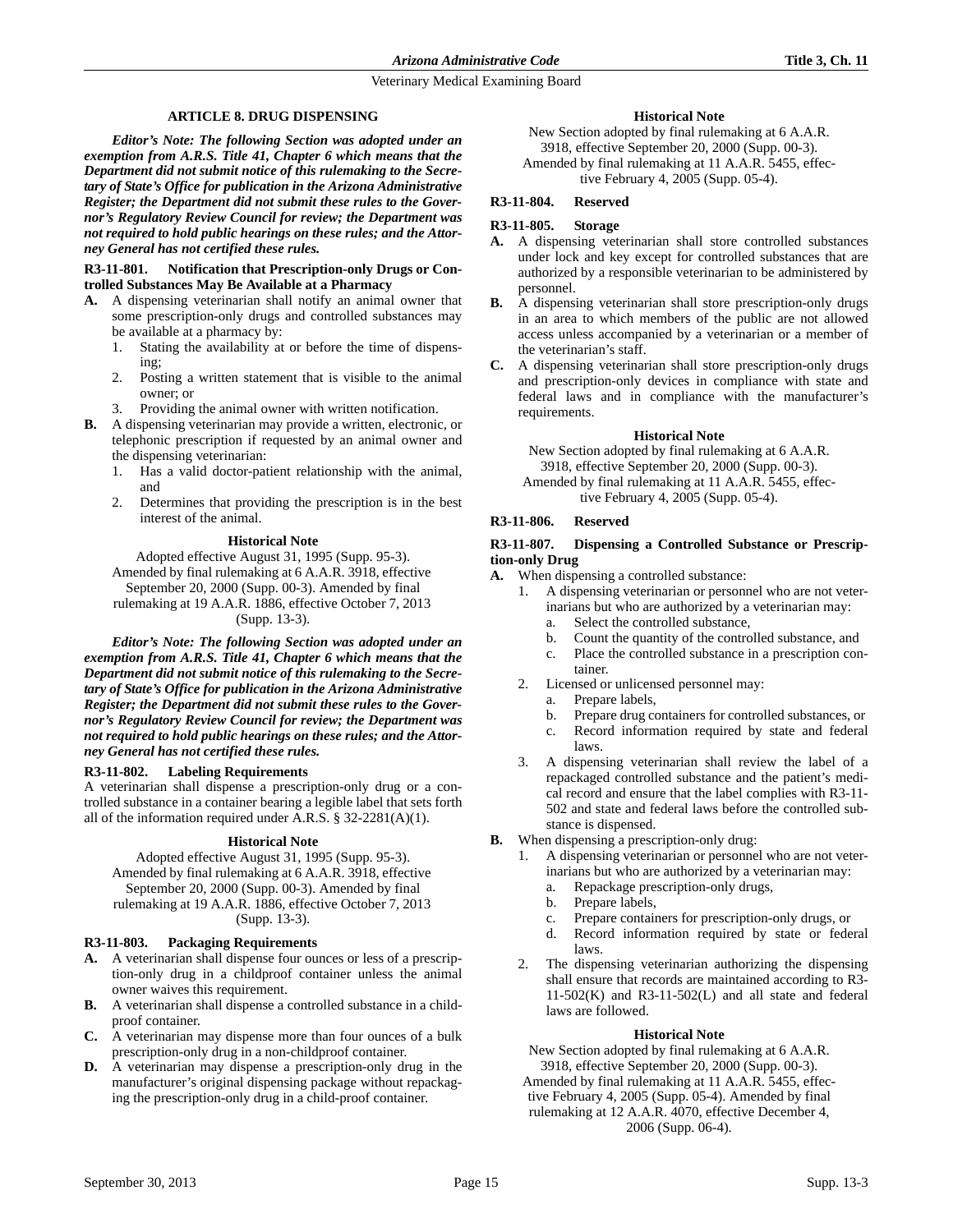### **ARTICLE 8. DRUG DISPENSING**

*Editor's Note: The following Section was adopted under an exemption from A.R.S. Title 41, Chapter 6 which means that the Department did not submit notice of this rulemaking to the Secretary of State's Office for publication in the Arizona Administrative Register; the Department did not submit these rules to the Governor's Regulatory Review Council for review; the Department was not required to hold public hearings on these rules; and the Attorney General has not certified these rules.* 

### **R3-11-801. Notification that Prescription-only Drugs or Controlled Substances May Be Available at a Pharmacy**

- **A.** A dispensing veterinarian shall notify an animal owner that some prescription-only drugs and controlled substances may be available at a pharmacy by:
	- 1. Stating the availability at or before the time of dispensing;
	- 2. Posting a written statement that is visible to the animal owner; or
	- Providing the animal owner with written notification.
- **B.** A dispensing veterinarian may provide a written, electronic, or telephonic prescription if requested by an animal owner and the dispensing veterinarian:
	- 1. Has a valid doctor-patient relationship with the animal, and
	- 2. Determines that providing the prescription is in the best interest of the animal.

#### **Historical Note**

Adopted effective August 31, 1995 (Supp. 95-3). Amended by final rulemaking at 6 A.A.R. 3918, effective September 20, 2000 (Supp. 00-3). Amended by final rulemaking at 19 A.A.R. 1886, effective October 7, 2013 (Supp. 13-3).

*Editor's Note: The following Section was adopted under an exemption from A.R.S. Title 41, Chapter 6 which means that the Department did not submit notice of this rulemaking to the Secretary of State's Office for publication in the Arizona Administrative Register; the Department did not submit these rules to the Governor's Regulatory Review Council for review; the Department was not required to hold public hearings on these rules; and the Attorney General has not certified these rules.*

### **R3-11-802. Labeling Requirements**

A veterinarian shall dispense a prescription-only drug or a controlled substance in a container bearing a legible label that sets forth all of the information required under A.R.S. § 32-2281(A)(1).

#### **Historical Note**

Adopted effective August 31, 1995 (Supp. 95-3). Amended by final rulemaking at 6 A.A.R. 3918, effective September 20, 2000 (Supp. 00-3). Amended by final rulemaking at 19 A.A.R. 1886, effective October 7, 2013 (Supp. 13-3).

### **R3-11-803. Packaging Requirements**

- **A.** A veterinarian shall dispense four ounces or less of a prescription-only drug in a childproof container unless the animal owner waives this requirement.
- **B.** A veterinarian shall dispense a controlled substance in a childproof container.
- **C.** A veterinarian may dispense more than four ounces of a bulk prescription-only drug in a non-childproof container.
- **D.** A veterinarian may dispense a prescription-only drug in the manufacturer's original dispensing package without repackaging the prescription-only drug in a child-proof container.

### **Historical Note**

New Section adopted by final rulemaking at 6 A.A.R. 3918, effective September 20, 2000 (Supp. 00-3). Amended by final rulemaking at 11 A.A.R. 5455, effective February 4, 2005 (Supp. 05-4).

### **R3-11-804. Reserved**

### **R3-11-805. Storage**

- **A.** A dispensing veterinarian shall store controlled substances under lock and key except for controlled substances that are authorized by a responsible veterinarian to be administered by personnel.
- **B.** A dispensing veterinarian shall store prescription-only drugs in an area to which members of the public are not allowed access unless accompanied by a veterinarian or a member of the veterinarian's staff.
- **C.** A dispensing veterinarian shall store prescription-only drugs and prescription-only devices in compliance with state and federal laws and in compliance with the manufacturer's requirements.

#### **Historical Note**

New Section adopted by final rulemaking at 6 A.A.R. 3918, effective September 20, 2000 (Supp. 00-3). Amended by final rulemaking at 11 A.A.R. 5455, effective February 4, 2005 (Supp. 05-4).

# **R3-11-806. Reserved**

### **R3-11-807. Dispensing a Controlled Substance or Prescription-only Drug**

- **A.** When dispensing a controlled substance:
	- 1. A dispensing veterinarian or personnel who are not veterinarians but who are authorized by a veterinarian may:
		- a. Select the controlled substance,
		- b. Count the quantity of the controlled substance, and
		- c. Place the controlled substance in a prescription container.
	- 2. Licensed or unlicensed personnel may:
		- a. Prepare labels,
		- b. Prepare drug containers for controlled substances, or
		- c. Record information required by state and federal laws.
	- 3. A dispensing veterinarian shall review the label of a repackaged controlled substance and the patient's medical record and ensure that the label complies with R3-11- 502 and state and federal laws before the controlled substance is dispensed.
- **B.** When dispensing a prescription-only drug:
	- 1. A dispensing veterinarian or personnel who are not veterinarians but who are authorized by a veterinarian may:
		- a. Repackage prescription-only drugs,
		- b. Prepare labels,
		- c. Prepare containers for prescription-only drugs, or
		- d. Record information required by state or federal laws.
	- The dispensing veterinarian authorizing the dispensing shall ensure that records are maintained according to R3-  $11-502(K)$  and R3-11-502(L) and all state and federal laws are followed.

#### **Historical Note**

New Section adopted by final rulemaking at 6 A.A.R. 3918, effective September 20, 2000 (Supp. 00-3).

Amended by final rulemaking at 11 A.A.R. 5455, effective February 4, 2005 (Supp. 05-4). Amended by final

rulemaking at 12 A.A.R. 4070, effective December 4,

2006 (Supp. 06-4).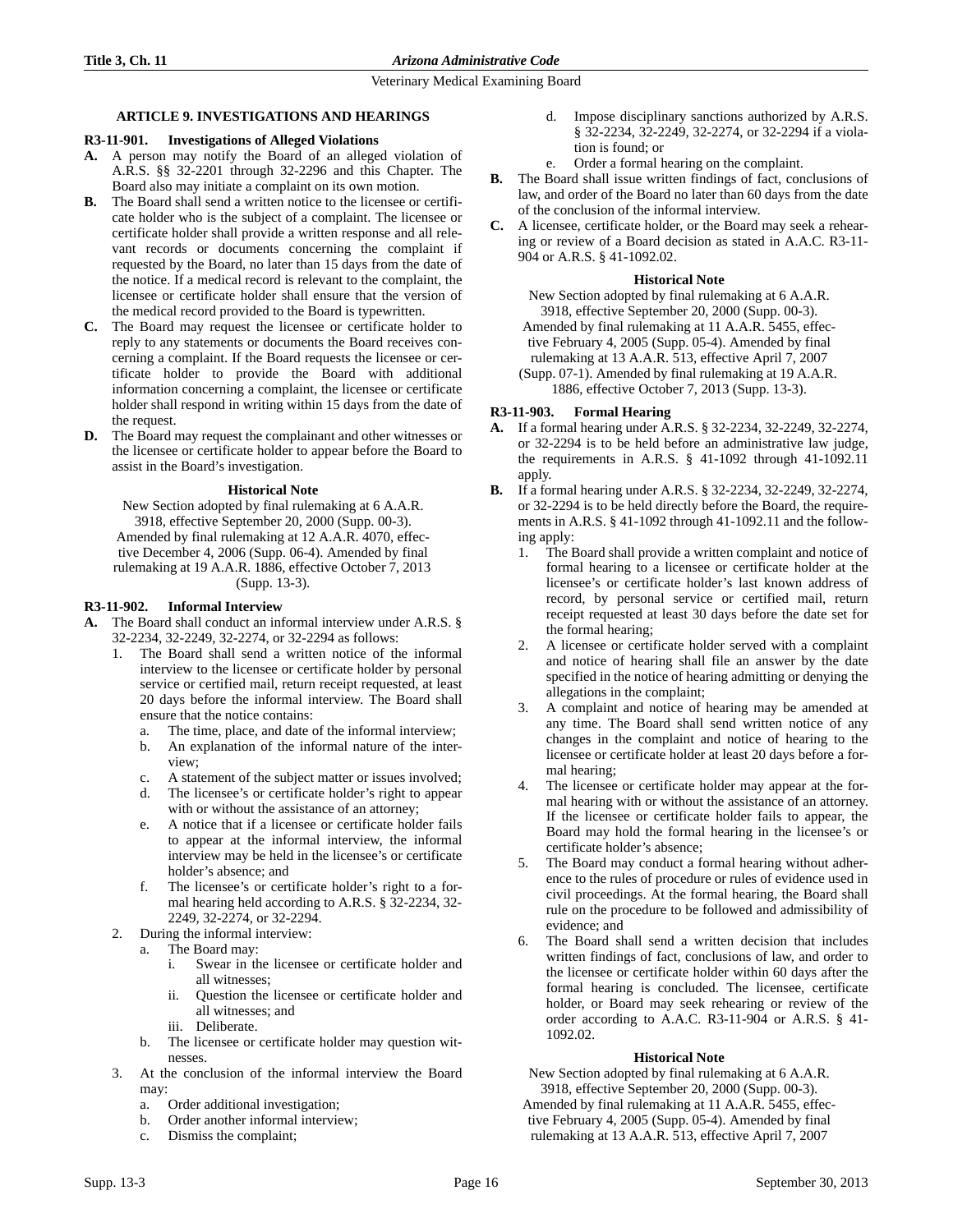# **ARTICLE 9. INVESTIGATIONS AND HEARINGS**

# **R3-11-901. Investigations of Alleged Violations**

- **A.** A person may notify the Board of an alleged violation of A.R.S. §§ 32-2201 through 32-2296 and this Chapter. The Board also may initiate a complaint on its own motion.
- **B.** The Board shall send a written notice to the licensee or certificate holder who is the subject of a complaint. The licensee or certificate holder shall provide a written response and all relevant records or documents concerning the complaint if requested by the Board, no later than 15 days from the date of the notice. If a medical record is relevant to the complaint, the licensee or certificate holder shall ensure that the version of the medical record provided to the Board is typewritten.
- **C.** The Board may request the licensee or certificate holder to reply to any statements or documents the Board receives concerning a complaint. If the Board requests the licensee or certificate holder to provide the Board with additional information concerning a complaint, the licensee or certificate holder shall respond in writing within 15 days from the date of the request.
- **D.** The Board may request the complainant and other witnesses or the licensee or certificate holder to appear before the Board to assist in the Board's investigation.

# **Historical Note**

New Section adopted by final rulemaking at 6 A.A.R. 3918, effective September 20, 2000 (Supp. 00-3). Amended by final rulemaking at 12 A.A.R. 4070, effective December 4, 2006 (Supp. 06-4). Amended by final rulemaking at 19 A.A.R. 1886, effective October 7, 2013 (Supp. 13-3).

# **R3-11-902. Informal Interview**

- **A.** The Board shall conduct an informal interview under A.R.S. § 32-2234, 32-2249, 32-2274, or 32-2294 as follows:
	- 1. The Board shall send a written notice of the informal interview to the licensee or certificate holder by personal service or certified mail, return receipt requested, at least 20 days before the informal interview. The Board shall ensure that the notice contains:
		- a. The time, place, and date of the informal interview;
		- b. An explanation of the informal nature of the interview;
		- c. A statement of the subject matter or issues involved;
		- d. The licensee's or certificate holder's right to appear with or without the assistance of an attorney;
		- e. A notice that if a licensee or certificate holder fails to appear at the informal interview, the informal interview may be held in the licensee's or certificate holder's absence; and
		- f. The licensee's or certificate holder's right to a formal hearing held according to A.R.S. § 32-2234, 32- 2249, 32-2274, or 32-2294.
	- 2. During the informal interview:
		- a. The Board may:
			- i. Swear in the licensee or certificate holder and all witnesses;
			- ii. Question the licensee or certificate holder and all witnesses; and
			- iii. Deliberate.
		- b. The licensee or certificate holder may question witnesses.
	- 3. At the conclusion of the informal interview the Board may:
		- a. Order additional investigation;
		- b. Order another informal interview;
		- c. Dismiss the complaint;
- d. Impose disciplinary sanctions authorized by A.R.S. § 32-2234, 32-2249, 32-2274, or 32-2294 if a violation is found; or
- e. Order a formal hearing on the complaint.
- **B.** The Board shall issue written findings of fact, conclusions of law, and order of the Board no later than 60 days from the date of the conclusion of the informal interview.
- **C.** A licensee, certificate holder, or the Board may seek a rehearing or review of a Board decision as stated in A.A.C. R3-11- 904 or A.R.S. § 41-1092.02.

# **Historical Note**

New Section adopted by final rulemaking at 6 A.A.R. 3918, effective September 20, 2000 (Supp. 00-3). Amended by final rulemaking at 11 A.A.R. 5455, effective February 4, 2005 (Supp. 05-4). Amended by final rulemaking at 13 A.A.R. 513, effective April 7, 2007 (Supp. 07-1). Amended by final rulemaking at 19 A.A.R. 1886, effective October 7, 2013 (Supp. 13-3).

# **R3-11-903. Formal Hearing**

- **A.** If a formal hearing under A.R.S. § 32-2234, 32-2249, 32-2274, or 32-2294 is to be held before an administrative law judge, the requirements in A.R.S. § 41-1092 through 41-1092.11 apply.
- **B.** If a formal hearing under A.R.S. § 32-2234, 32-2249, 32-2274, or 32-2294 is to be held directly before the Board, the requirements in A.R.S. § 41-1092 through 41-1092.11 and the following apply:
	- 1. The Board shall provide a written complaint and notice of formal hearing to a licensee or certificate holder at the licensee's or certificate holder's last known address of record, by personal service or certified mail, return receipt requested at least 30 days before the date set for the formal hearing;
	- 2. A licensee or certificate holder served with a complaint and notice of hearing shall file an answer by the date specified in the notice of hearing admitting or denying the allegations in the complaint;
	- 3. A complaint and notice of hearing may be amended at any time. The Board shall send written notice of any changes in the complaint and notice of hearing to the licensee or certificate holder at least 20 days before a formal hearing;
	- 4. The licensee or certificate holder may appear at the formal hearing with or without the assistance of an attorney. If the licensee or certificate holder fails to appear, the Board may hold the formal hearing in the licensee's or certificate holder's absence;
	- 5. The Board may conduct a formal hearing without adherence to the rules of procedure or rules of evidence used in civil proceedings. At the formal hearing, the Board shall rule on the procedure to be followed and admissibility of evidence; and
	- 6. The Board shall send a written decision that includes written findings of fact, conclusions of law, and order to the licensee or certificate holder within 60 days after the formal hearing is concluded. The licensee, certificate holder, or Board may seek rehearing or review of the order according to A.A.C. R3-11-904 or A.R.S. § 41- 1092.02.

# **Historical Note**

New Section adopted by final rulemaking at 6 A.A.R. 3918, effective September 20, 2000 (Supp. 00-3).

Amended by final rulemaking at 11 A.A.R. 5455, effective February 4, 2005 (Supp. 05-4). Amended by final rulemaking at 13 A.A.R. 513, effective April 7, 2007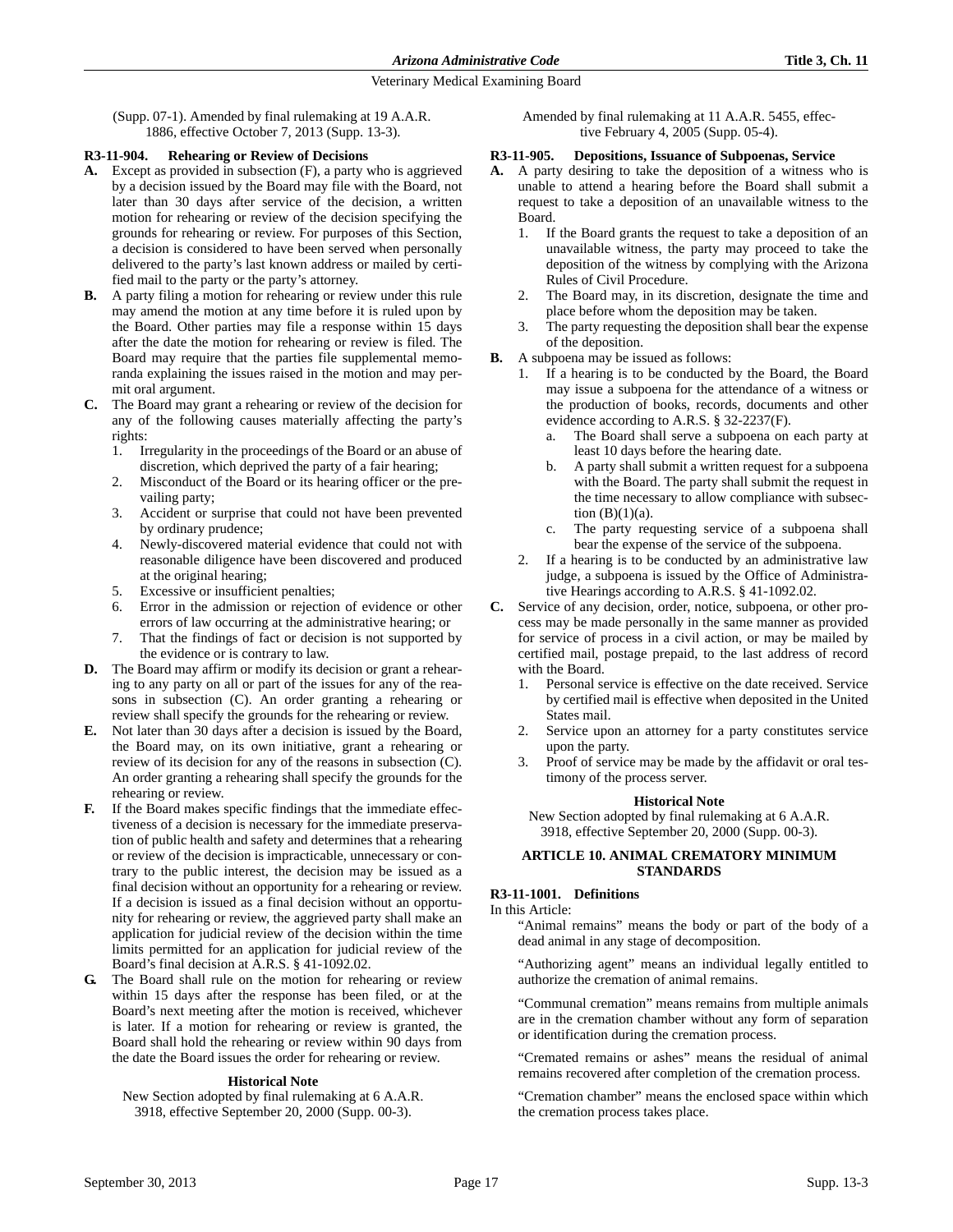(Supp. 07-1). Amended by final rulemaking at 19 A.A.R. 1886, effective October 7, 2013 (Supp. 13-3).

### **R3-11-904. Rehearing or Review of Decisions**

- **A.** Except as provided in subsection (F), a party who is aggrieved by a decision issued by the Board may file with the Board, not later than 30 days after service of the decision, a written motion for rehearing or review of the decision specifying the grounds for rehearing or review. For purposes of this Section, a decision is considered to have been served when personally delivered to the party's last known address or mailed by certified mail to the party or the party's attorney.
- **B.** A party filing a motion for rehearing or review under this rule may amend the motion at any time before it is ruled upon by the Board. Other parties may file a response within 15 days after the date the motion for rehearing or review is filed. The Board may require that the parties file supplemental memoranda explaining the issues raised in the motion and may permit oral argument.
- **C.** The Board may grant a rehearing or review of the decision for any of the following causes materially affecting the party's rights:
	- 1. Irregularity in the proceedings of the Board or an abuse of discretion, which deprived the party of a fair hearing;
	- 2. Misconduct of the Board or its hearing officer or the prevailing party;
	- 3. Accident or surprise that could not have been prevented by ordinary prudence;
	- 4. Newly-discovered material evidence that could not with reasonable diligence have been discovered and produced at the original hearing;
	- 5. Excessive or insufficient penalties;
	- 6. Error in the admission or rejection of evidence or other errors of law occurring at the administrative hearing; or
	- 7. That the findings of fact or decision is not supported by the evidence or is contrary to law.
- **D.** The Board may affirm or modify its decision or grant a rehearing to any party on all or part of the issues for any of the reasons in subsection (C). An order granting a rehearing or review shall specify the grounds for the rehearing or review.
- **E.** Not later than 30 days after a decision is issued by the Board, the Board may, on its own initiative, grant a rehearing or review of its decision for any of the reasons in subsection (C). An order granting a rehearing shall specify the grounds for the rehearing or review.
- **F.** If the Board makes specific findings that the immediate effectiveness of a decision is necessary for the immediate preservation of public health and safety and determines that a rehearing or review of the decision is impracticable, unnecessary or contrary to the public interest, the decision may be issued as a final decision without an opportunity for a rehearing or review. If a decision is issued as a final decision without an opportunity for rehearing or review, the aggrieved party shall make an application for judicial review of the decision within the time limits permitted for an application for judicial review of the Board's final decision at A.R.S. § 41-1092.02.
- **G.** The Board shall rule on the motion for rehearing or review within 15 days after the response has been filed, or at the Board's next meeting after the motion is received, whichever is later. If a motion for rehearing or review is granted, the Board shall hold the rehearing or review within 90 days from the date the Board issues the order for rehearing or review.

### **Historical Note**

New Section adopted by final rulemaking at 6 A.A.R. 3918, effective September 20, 2000 (Supp. 00-3).

Amended by final rulemaking at 11 A.A.R. 5455, effective February 4, 2005 (Supp. 05-4).

### **R3-11-905. Depositions, Issuance of Subpoenas, Service**

- **A.** A party desiring to take the deposition of a witness who is unable to attend a hearing before the Board shall submit a request to take a deposition of an unavailable witness to the Board.
	- 1. If the Board grants the request to take a deposition of an unavailable witness, the party may proceed to take the deposition of the witness by complying with the Arizona Rules of Civil Procedure.
	- 2. The Board may, in its discretion, designate the time and place before whom the deposition may be taken.
	- 3. The party requesting the deposition shall bear the expense of the deposition.
- **B.** A subpoena may be issued as follows:
	- 1. If a hearing is to be conducted by the Board, the Board may issue a subpoena for the attendance of a witness or the production of books, records, documents and other evidence according to A.R.S. § 32-2237(F).
		- a. The Board shall serve a subpoena on each party at least 10 days before the hearing date.
		- b. A party shall submit a written request for a subpoena with the Board. The party shall submit the request in the time necessary to allow compliance with subsection  $(B)(1)(a)$ .
		- c. The party requesting service of a subpoena shall bear the expense of the service of the subpoena.
	- 2. If a hearing is to be conducted by an administrative law judge, a subpoena is issued by the Office of Administrative Hearings according to A.R.S. § 41-1092.02.
- **C.** Service of any decision, order, notice, subpoena, or other process may be made personally in the same manner as provided for service of process in a civil action, or may be mailed by certified mail, postage prepaid, to the last address of record with the Board.
	- 1. Personal service is effective on the date received. Service by certified mail is effective when deposited in the United States mail.
	- 2. Service upon an attorney for a party constitutes service upon the party.
	- 3. Proof of service may be made by the affidavit or oral testimony of the process server.

### **Historical Note**

New Section adopted by final rulemaking at 6 A.A.R. 3918, effective September 20, 2000 (Supp. 00-3).

### **ARTICLE 10. ANIMAL CREMATORY MINIMUM STANDARDS**

### **R3-11-1001. Definitions**

### In this Article:

"Animal remains" means the body or part of the body of a dead animal in any stage of decomposition.

"Authorizing agent" means an individual legally entitled to authorize the cremation of animal remains.

"Communal cremation" means remains from multiple animals are in the cremation chamber without any form of separation or identification during the cremation process.

"Cremated remains or ashes" means the residual of animal remains recovered after completion of the cremation process.

"Cremation chamber" means the enclosed space within which the cremation process takes place.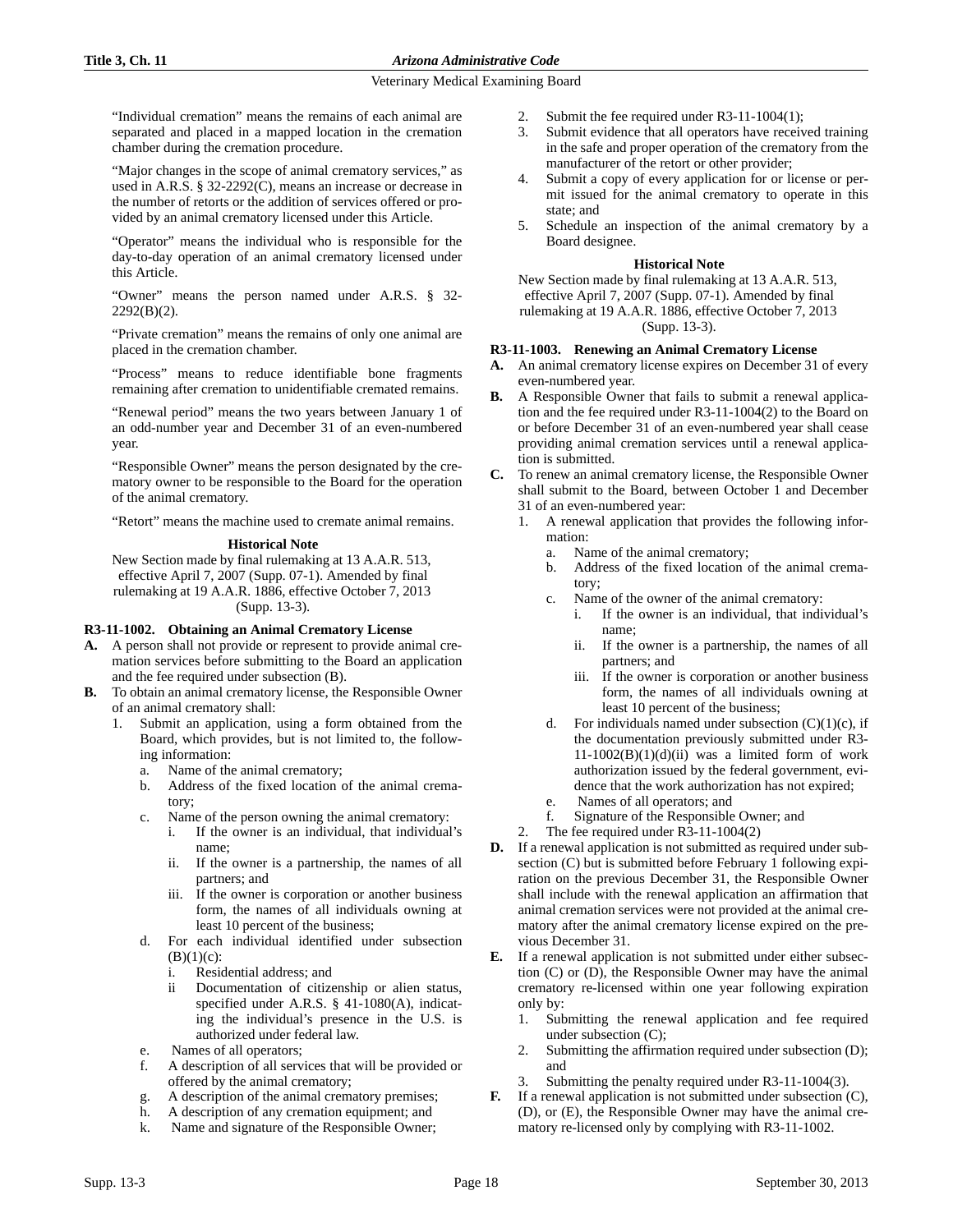"Individual cremation" means the remains of each animal are separated and placed in a mapped location in the cremation chamber during the cremation procedure.

"Major changes in the scope of animal crematory services," as used in A.R.S. § 32-2292(C), means an increase or decrease in the number of retorts or the addition of services offered or provided by an animal crematory licensed under this Article.

"Operator" means the individual who is responsible for the day-to-day operation of an animal crematory licensed under this Article.

"Owner" means the person named under A.R.S. § 32-  $2292(B)(2)$ .

"Private cremation" means the remains of only one animal are placed in the cremation chamber.

"Process" means to reduce identifiable bone fragments remaining after cremation to unidentifiable cremated remains.

"Renewal period" means the two years between January 1 of an odd-number year and December 31 of an even-numbered year.

"Responsible Owner" means the person designated by the crematory owner to be responsible to the Board for the operation of the animal crematory.

"Retort" means the machine used to cremate animal remains.

### **Historical Note**

New Section made by final rulemaking at 13 A.A.R. 513, effective April 7, 2007 (Supp. 07-1). Amended by final rulemaking at 19 A.A.R. 1886, effective October 7, 2013 (Supp. 13-3).

# **R3-11-1002. Obtaining an Animal Crematory License**

- **A.** A person shall not provide or represent to provide animal cremation services before submitting to the Board an application and the fee required under subsection (B).
- **B.** To obtain an animal crematory license, the Responsible Owner of an animal crematory shall:
	- 1. Submit an application, using a form obtained from the Board, which provides, but is not limited to, the following information:
		- a. Name of the animal crematory;
		- b. Address of the fixed location of the animal crematory;
		- c. Name of the person owning the animal crematory:
			- i. If the owner is an individual, that individual's name;
			- ii. If the owner is a partnership, the names of all partners; and
			- iii. If the owner is corporation or another business form, the names of all individuals owning at least 10 percent of the business;
		- d. For each individual identified under subsection  $(B)(1)(c)$ :
			- i. Residential address; and
			- ii Documentation of citizenship or alien status, specified under A.R.S. § 41-1080(A), indicating the individual's presence in the U.S. is authorized under federal law.
		- Names of all operators;
		- f. A description of all services that will be provided or offered by the animal crematory;
		- g. A description of the animal crematory premises;
		- h. A description of any cremation equipment; and
		- k. Name and signature of the Responsible Owner;
- 2. Submit the fee required under R3-11-1004(1);
- 3. Submit evidence that all operators have received training in the safe and proper operation of the crematory from the manufacturer of the retort or other provider;
- 4. Submit a copy of every application for or license or permit issued for the animal crematory to operate in this state; and
- Schedule an inspection of the animal crematory by a Board designee.

### **Historical Note**

New Section made by final rulemaking at 13 A.A.R. 513, effective April 7, 2007 (Supp. 07-1). Amended by final rulemaking at 19 A.A.R. 1886, effective October 7, 2013 (Supp. 13-3).

# **R3-11-1003. Renewing an Animal Crematory License**

- **A.** An animal crematory license expires on December 31 of every even-numbered year.
- **B.** A Responsible Owner that fails to submit a renewal application and the fee required under R3-11-1004(2) to the Board on or before December 31 of an even-numbered year shall cease providing animal cremation services until a renewal application is submitted.
- **C.** To renew an animal crematory license, the Responsible Owner shall submit to the Board, between October 1 and December 31 of an even-numbered year:
	- 1. A renewal application that provides the following information:
		- a. Name of the animal crematory;
		- b. Address of the fixed location of the animal crematory;
		- c. Name of the owner of the animal crematory:
			- i. If the owner is an individual, that individual's name;
			- ii. If the owner is a partnership, the names of all partners; and
			- iii. If the owner is corporation or another business form, the names of all individuals owning at least 10 percent of the business;
		- d. For individuals named under subsection  $(C)(1)(c)$ , if the documentation previously submitted under R3-  $11-1002(B)(1)(d)(ii)$  was a limited form of work authorization issued by the federal government, evidence that the work authorization has not expired;
		- e. Names of all operators; and
		- f. Signature of the Responsible Owner; and
	- 2. The fee required under R3-11-1004(2)
- **D.** If a renewal application is not submitted as required under subsection (C) but is submitted before February 1 following expiration on the previous December 31, the Responsible Owner shall include with the renewal application an affirmation that animal cremation services were not provided at the animal crematory after the animal crematory license expired on the previous December 31.
- **E.** If a renewal application is not submitted under either subsection (C) or (D), the Responsible Owner may have the animal crematory re-licensed within one year following expiration only by:
	- 1. Submitting the renewal application and fee required under subsection (C);
	- 2. Submitting the affirmation required under subsection (D); and
	- 3. Submitting the penalty required under R3-11-1004(3).
- **F.** If a renewal application is not submitted under subsection (C), (D), or (E), the Responsible Owner may have the animal crematory re-licensed only by complying with R3-11-1002.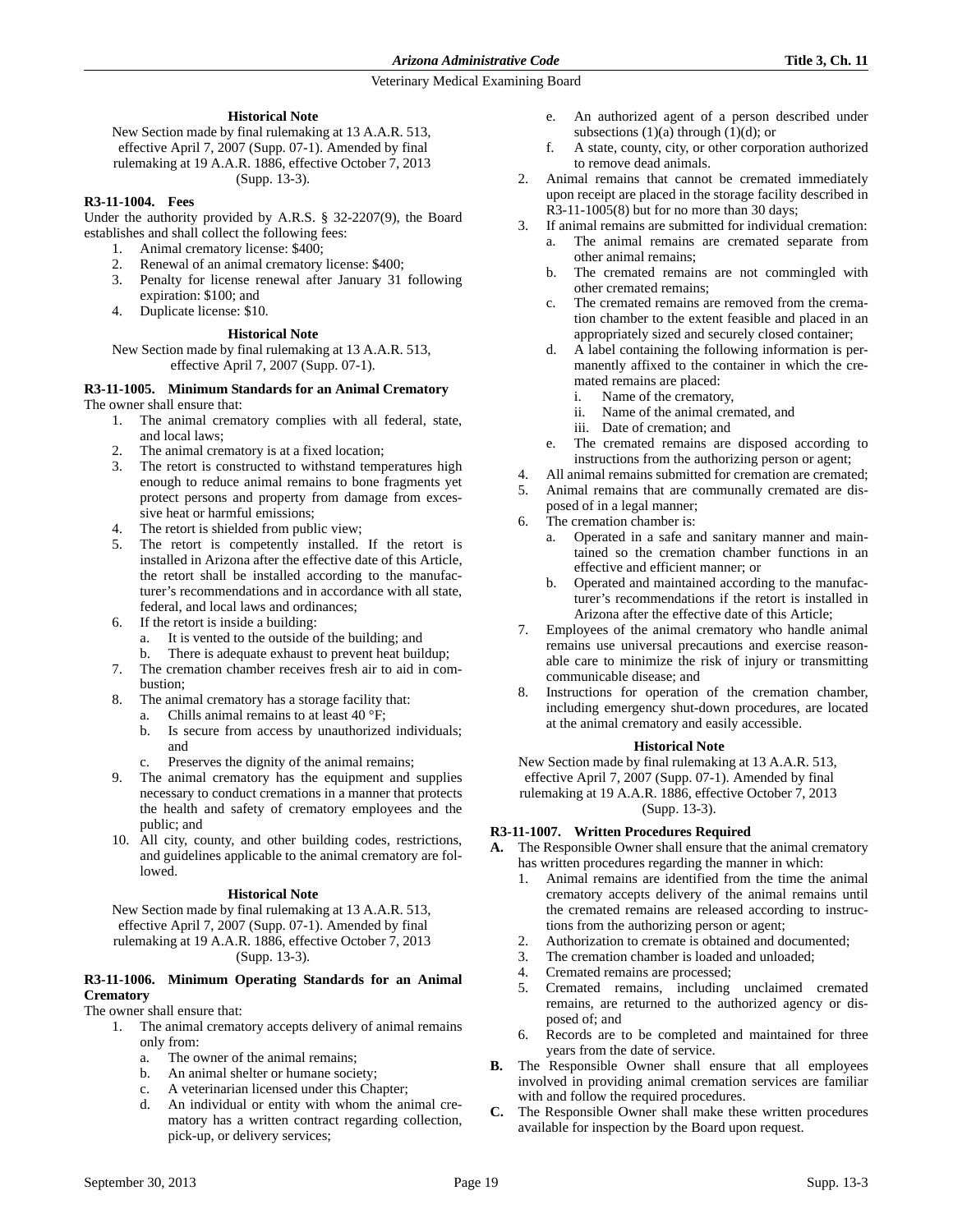### **Historical Note**

New Section made by final rulemaking at 13 A.A.R. 513, effective April 7, 2007 (Supp. 07-1). Amended by final rulemaking at 19 A.A.R. 1886, effective October 7, 2013 (Supp. 13-3).

### **R3-11-1004. Fees**

Under the authority provided by A.R.S. § 32-2207(9), the Board establishes and shall collect the following fees:

- 1. Animal crematory license: \$400;
- 2. Renewal of an animal crematory license: \$400; 3. Penalty for license renewal after January 31 following
- expiration: \$100; and
- 4. Duplicate license: \$10.

### **Historical Note**

New Section made by final rulemaking at 13 A.A.R. 513, effective April 7, 2007 (Supp. 07-1).

#### **R3-11-1005. Minimum Standards for an Animal Crematory** The owner shall ensure that:

- 1. The animal crematory complies with all federal, state, and local laws;
- The animal crematory is at a fixed location;
- 3. The retort is constructed to withstand temperatures high enough to reduce animal remains to bone fragments yet protect persons and property from damage from excessive heat or harmful emissions;
- 4. The retort is shielded from public view;
- 5. The retort is competently installed. If the retort is installed in Arizona after the effective date of this Article, the retort shall be installed according to the manufacturer's recommendations and in accordance with all state, federal, and local laws and ordinances;
- 6. If the retort is inside a building:
	- a. It is vented to the outside of the building; and
	- b. There is adequate exhaust to prevent heat buildup;
- 7. The cremation chamber receives fresh air to aid in combustion;
- 8. The animal crematory has a storage facility that:
	- a. Chills animal remains to at least 40 °F;
	- b. Is secure from access by unauthorized individuals; and
	- c. Preserves the dignity of the animal remains;
- 9. The animal crematory has the equipment and supplies necessary to conduct cremations in a manner that protects the health and safety of crematory employees and the public; and
- 10. All city, county, and other building codes, restrictions, and guidelines applicable to the animal crematory are followed.

### **Historical Note**

New Section made by final rulemaking at 13 A.A.R. 513, effective April 7, 2007 (Supp. 07-1). Amended by final rulemaking at 19 A.A.R. 1886, effective October 7, 2013 (Supp. 13-3).

# **R3-11-1006. Minimum Operating Standards for an Animal Crematory**

The owner shall ensure that:

- 1. The animal crematory accepts delivery of animal remains only from:
	- a. The owner of the animal remains;
	- b. An animal shelter or humane society;
	- c. A veterinarian licensed under this Chapter;
	- d. An individual or entity with whom the animal crematory has a written contract regarding collection, pick-up, or delivery services;
- e. An authorized agent of a person described under subsections  $(1)(a)$  through  $(1)(d)$ ; or
- f. A state, county, city, or other corporation authorized to remove dead animals.
- 2. Animal remains that cannot be cremated immediately upon receipt are placed in the storage facility described in R3-11-1005(8) but for no more than 30 days;
- 3. If animal remains are submitted for individual cremation:
	- a. The animal remains are cremated separate from other animal remains;
	- b. The cremated remains are not commingled with other cremated remains;
	- c. The cremated remains are removed from the cremation chamber to the extent feasible and placed in an appropriately sized and securely closed container;
	- d. A label containing the following information is permanently affixed to the container in which the cremated remains are placed:
		- i. Name of the crematory,
		- ii. Name of the animal cremated, and
		- iii. Date of cremation; and
	- e. The cremated remains are disposed according to instructions from the authorizing person or agent;
- 4. All animal remains submitted for cremation are cremated;
- 5. Animal remains that are communally cremated are disposed of in a legal manner;
- 6. The cremation chamber is:
	- a. Operated in a safe and sanitary manner and maintained so the cremation chamber functions in an effective and efficient manner; or
	- b. Operated and maintained according to the manufacturer's recommendations if the retort is installed in Arizona after the effective date of this Article;
- 7. Employees of the animal crematory who handle animal remains use universal precautions and exercise reasonable care to minimize the risk of injury or transmitting communicable disease; and
- 8. Instructions for operation of the cremation chamber, including emergency shut-down procedures, are located at the animal crematory and easily accessible.

### **Historical Note**

New Section made by final rulemaking at 13 A.A.R. 513, effective April 7, 2007 (Supp. 07-1). Amended by final rulemaking at 19 A.A.R. 1886, effective October 7, 2013

(Supp. 13-3).

# **R3-11-1007. Written Procedures Required**

- **A.** The Responsible Owner shall ensure that the animal crematory has written procedures regarding the manner in which:
	- 1. Animal remains are identified from the time the animal crematory accepts delivery of the animal remains until the cremated remains are released according to instructions from the authorizing person or agent;
	- 2. Authorization to cremate is obtained and documented;
	- 3. The cremation chamber is loaded and unloaded;
	- 4. Cremated remains are processed;
	- 5. Cremated remains, including unclaimed cremated remains, are returned to the authorized agency or disposed of; and
	- 6. Records are to be completed and maintained for three years from the date of service.
- **B.** The Responsible Owner shall ensure that all employees involved in providing animal cremation services are familiar with and follow the required procedures.
- **C.** The Responsible Owner shall make these written procedures available for inspection by the Board upon request.